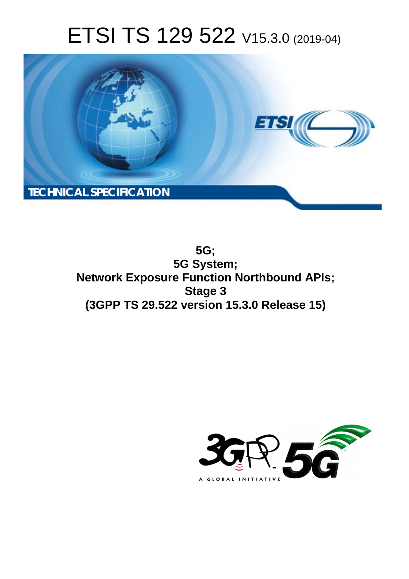# ETSI TS 129 522 V15.3.0 (2019-04)



**5G; 5G System; Network Exposure Function Northbound APIs; Stage 3 (3GPP TS 29.522 version 15.3.0 Release 15)** 

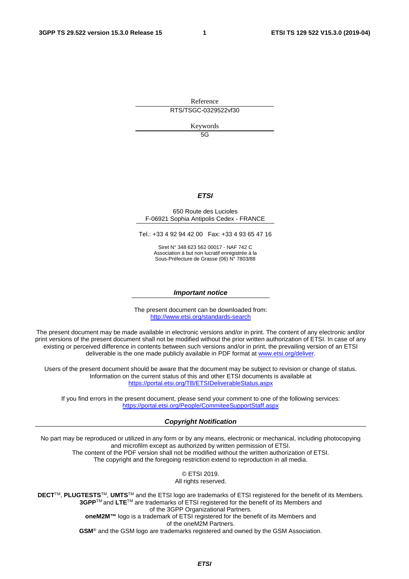Reference

RTS/TSGC-0329522vf30

Keywords

5G

#### *ETSI*

#### 650 Route des Lucioles F-06921 Sophia Antipolis Cedex - FRANCE

Tel.: +33 4 92 94 42 00 Fax: +33 4 93 65 47 16

Siret N° 348 623 562 00017 - NAF 742 C Association à but non lucratif enregistrée à la Sous-Préfecture de Grasse (06) N° 7803/88

#### *Important notice*

The present document can be downloaded from: <http://www.etsi.org/standards-search>

The present document may be made available in electronic versions and/or in print. The content of any electronic and/or print versions of the present document shall not be modified without the prior written authorization of ETSI. In case of any existing or perceived difference in contents between such versions and/or in print, the prevailing version of an ETSI deliverable is the one made publicly available in PDF format at [www.etsi.org/deliver](http://www.etsi.org/deliver).

Users of the present document should be aware that the document may be subject to revision or change of status. Information on the current status of this and other ETSI documents is available at <https://portal.etsi.org/TB/ETSIDeliverableStatus.aspx>

If you find errors in the present document, please send your comment to one of the following services: <https://portal.etsi.org/People/CommiteeSupportStaff.aspx>

#### *Copyright Notification*

No part may be reproduced or utilized in any form or by any means, electronic or mechanical, including photocopying and microfilm except as authorized by written permission of ETSI. The content of the PDF version shall not be modified without the written authorization of ETSI. The copyright and the foregoing restriction extend to reproduction in all media.

> © ETSI 2019. All rights reserved.

**DECT**TM, **PLUGTESTS**TM, **UMTS**TM and the ETSI logo are trademarks of ETSI registered for the benefit of its Members. **3GPP**TM and **LTE**TM are trademarks of ETSI registered for the benefit of its Members and of the 3GPP Organizational Partners. **oneM2M™** logo is a trademark of ETSI registered for the benefit of its Members and of the oneM2M Partners. **GSM**® and the GSM logo are trademarks registered and owned by the GSM Association.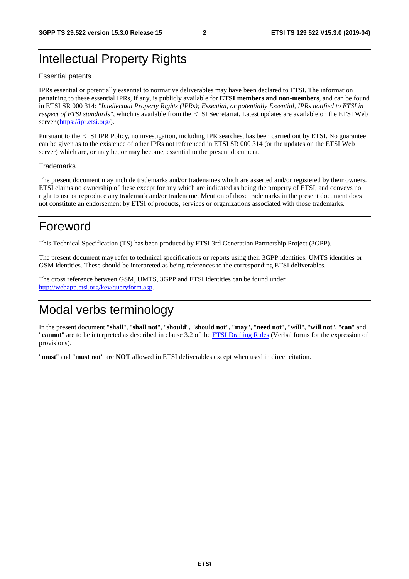## Intellectual Property Rights

#### Essential patents

IPRs essential or potentially essential to normative deliverables may have been declared to ETSI. The information pertaining to these essential IPRs, if any, is publicly available for **ETSI members and non-members**, and can be found in ETSI SR 000 314: *"Intellectual Property Rights (IPRs); Essential, or potentially Essential, IPRs notified to ETSI in respect of ETSI standards"*, which is available from the ETSI Secretariat. Latest updates are available on the ETSI Web server ([https://ipr.etsi.org/\)](https://ipr.etsi.org/).

Pursuant to the ETSI IPR Policy, no investigation, including IPR searches, has been carried out by ETSI. No guarantee can be given as to the existence of other IPRs not referenced in ETSI SR 000 314 (or the updates on the ETSI Web server) which are, or may be, or may become, essential to the present document.

#### **Trademarks**

The present document may include trademarks and/or tradenames which are asserted and/or registered by their owners. ETSI claims no ownership of these except for any which are indicated as being the property of ETSI, and conveys no right to use or reproduce any trademark and/or tradename. Mention of those trademarks in the present document does not constitute an endorsement by ETSI of products, services or organizations associated with those trademarks.

## Foreword

This Technical Specification (TS) has been produced by ETSI 3rd Generation Partnership Project (3GPP).

The present document may refer to technical specifications or reports using their 3GPP identities, UMTS identities or GSM identities. These should be interpreted as being references to the corresponding ETSI deliverables.

The cross reference between GSM, UMTS, 3GPP and ETSI identities can be found under [http://webapp.etsi.org/key/queryform.asp.](http://webapp.etsi.org/key/queryform.asp)

## Modal verbs terminology

In the present document "**shall**", "**shall not**", "**should**", "**should not**", "**may**", "**need not**", "**will**", "**will not**", "**can**" and "**cannot**" are to be interpreted as described in clause 3.2 of the [ETSI Drafting Rules](https://portal.etsi.org/Services/editHelp!/Howtostart/ETSIDraftingRules.aspx) (Verbal forms for the expression of provisions).

"**must**" and "**must not**" are **NOT** allowed in ETSI deliverables except when used in direct citation.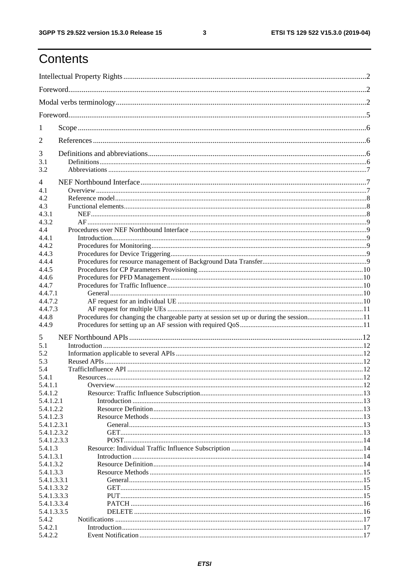## Contents

| 1                        |  |
|--------------------------|--|
| 2                        |  |
| 3                        |  |
| 3.1                      |  |
| 3.2                      |  |
| $\overline{4}$           |  |
| 4.1                      |  |
| 4.2                      |  |
| 4.3                      |  |
| 4.3.1                    |  |
| 4.3.2                    |  |
| 4.4                      |  |
| 4.4.1                    |  |
| 4.4.2                    |  |
| 4.4.3                    |  |
| 4.4.4<br>4.4.5           |  |
| 4.4.6                    |  |
| 4.4.7                    |  |
| 4.4.7.1                  |  |
| 4.4.7.2                  |  |
| 4.4.7.3                  |  |
| 4.4.8                    |  |
| 4.4.9                    |  |
|                          |  |
| 5<br>5.1                 |  |
| 5.2                      |  |
| 5.3                      |  |
| 5.4                      |  |
| 5.4.1                    |  |
| 5.4.1.1                  |  |
| 5.4.1.2                  |  |
| 5.4.1.2.1                |  |
| 5.4.1.2.2                |  |
| 5.4.1.2.3                |  |
| 5.4.1.2.3.1              |  |
| 5.4.1.2.3.2              |  |
| 5.4.1.2.3.3              |  |
| 5.4.1.3                  |  |
| 5.4.1.3.1                |  |
| 5.4.1.3.2                |  |
| 5.4.1.3.3<br>5.4.1.3.3.1 |  |
| 5.4.1.3.3.2              |  |
| 5.4.1.3.3.3              |  |
| 5.4.1.3.3.4              |  |
| 5.4.1.3.3.5              |  |
| 5.4.2                    |  |
| 5.4.2.1                  |  |
| 5.4.2.2                  |  |

 $\mathbf{3}$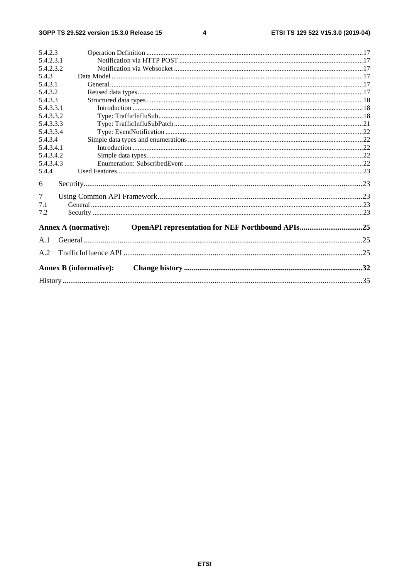#### $\overline{\mathbf{4}}$

| 5.4.2.3   |                                                                                 |     |
|-----------|---------------------------------------------------------------------------------|-----|
| 5.4.2.3.1 |                                                                                 |     |
| 5.4.2.3.2 |                                                                                 |     |
| 5.4.3     |                                                                                 |     |
| 5.4.3.1   |                                                                                 |     |
| 5.4.3.2   |                                                                                 |     |
| 5.4.3.3   |                                                                                 |     |
| 5.4.3.3.1 |                                                                                 |     |
| 5.4.3.3.2 |                                                                                 |     |
| 5.4.3.3.3 |                                                                                 |     |
| 5.4.3.3.4 |                                                                                 |     |
| 5.4.3.4   |                                                                                 |     |
| 5.4.3.4.1 |                                                                                 |     |
| 5.4.3.4.2 |                                                                                 |     |
| 5.4.3.4.3 |                                                                                 |     |
| 5.4.4     |                                                                                 |     |
| 6         |                                                                                 |     |
| 7         |                                                                                 |     |
| 7.1       |                                                                                 |     |
| 7.2       |                                                                                 |     |
|           | OpenAPI representation for NEF Northbound APIs25<br><b>Annex A (normative):</b> |     |
| A.1       |                                                                                 |     |
| A.2       |                                                                                 | .25 |
|           | <b>Annex B</b> (informative):                                                   |     |
|           |                                                                                 |     |
|           |                                                                                 |     |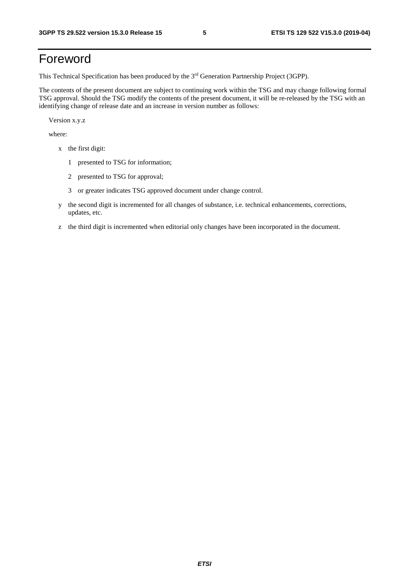## Foreword

This Technical Specification has been produced by the 3rd Generation Partnership Project (3GPP).

The contents of the present document are subject to continuing work within the TSG and may change following formal TSG approval. Should the TSG modify the contents of the present document, it will be re-released by the TSG with an identifying change of release date and an increase in version number as follows:

Version x.y.z

where:

- x the first digit:
	- 1 presented to TSG for information;
	- 2 presented to TSG for approval;
	- 3 or greater indicates TSG approved document under change control.
- y the second digit is incremented for all changes of substance, i.e. technical enhancements, corrections, updates, etc.
- z the third digit is incremented when editorial only changes have been incorporated in the document.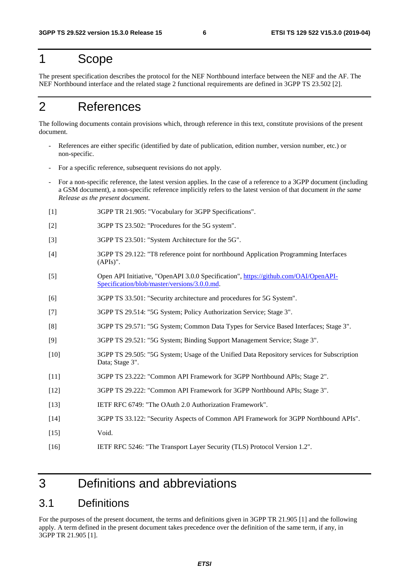## 1 Scope

The present specification describes the protocol for the NEF Northbound interface between the NEF and the AF. The NEF Northbound interface and the related stage 2 functional requirements are defined in 3GPP TS 23.502 [2].

## 2 References

The following documents contain provisions which, through reference in this text, constitute provisions of the present document.

- References are either specific (identified by date of publication, edition number, version number, etc.) or non-specific.
- For a specific reference, subsequent revisions do not apply.
- For a non-specific reference, the latest version applies. In the case of a reference to a 3GPP document (including a GSM document), a non-specific reference implicitly refers to the latest version of that document *in the same Release as the present document*.
- [1] 3GPP TR 21.905: "Vocabulary for 3GPP Specifications".
- [2] 3GPP TS 23.502: "Procedures for the 5G system".
- [3] 3GPP TS 23.501: "System Architecture for the 5G".
- [4] 3GPP TS 29.122: "T8 reference point for northbound Application Programming Interfaces (APIs)".
- [5] Open API Initiative, "OpenAPI 3.0.0 Specification", [https://github.com/OAI/OpenAPI-](https://github.com/OAI/OpenAPI-Specification/blob/master/versions/3.0.0.md)[Specification/blob/master/versions/3.0.0.md](https://github.com/OAI/OpenAPI-Specification/blob/master/versions/3.0.0.md).
- [6] 3GPP TS 33.501: "Security architecture and procedures for 5G System".
- [7] 3GPP TS 29.514: "5G System; Policy Authorization Service; Stage 3".
- [8] 3GPP TS 29.571: "5G System; Common Data Types for Service Based Interfaces; Stage 3".
- [9] 3GPP TS 29.521: "5G System; Binding Support Management Service; Stage 3".
- [10] 3GPP TS 29.505: "5G System; Usage of the Unified Data Repository services for Subscription Data; Stage 3".
- [11] 3GPP TS 23.222: "Common API Framework for 3GPP Northbound APIs; Stage 2".
- [12] 3GPP TS 29.222: "Common API Framework for 3GPP Northbound APIs; Stage 3".
- [13] IETF RFC 6749: "The OAuth 2.0 Authorization Framework".
- [14] 3GPP TS 33.122: "Security Aspects of Common API Framework for 3GPP Northbound APIs". [15] Void.
- [16] IETF RFC 5246: "The Transport Layer Security (TLS) Protocol Version 1.2".

## 3 Definitions and abbreviations

### 3.1 Definitions

For the purposes of the present document, the terms and definitions given in 3GPP TR 21.905 [1] and the following apply. A term defined in the present document takes precedence over the definition of the same term, if any, in 3GPP TR 21.905 [1].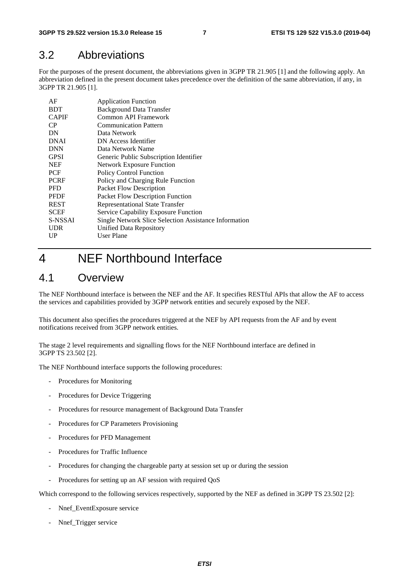### 3.2 Abbreviations

For the purposes of the present document, the abbreviations given in 3GPP TR 21.905 [1] and the following apply. An abbreviation defined in the present document takes precedence over the definition of the same abbreviation, if any, in 3GPP TR 21.905 [1].

| AF           | <b>Application Function</b>                           |
|--------------|-------------------------------------------------------|
| <b>BDT</b>   | <b>Background Data Transfer</b>                       |
| <b>CAPIF</b> | Common API Framework                                  |
| CP           | <b>Communication Pattern</b>                          |
| DN           | Data Network                                          |
| <b>DNAI</b>  | DN Access Identifier                                  |
| <b>DNN</b>   | Data Network Name                                     |
| <b>GPSI</b>  | Generic Public Subscription Identifier                |
| <b>NEF</b>   | <b>Network Exposure Function</b>                      |
| <b>PCF</b>   | <b>Policy Control Function</b>                        |
| <b>PCRF</b>  | Policy and Charging Rule Function                     |
| <b>PFD</b>   | Packet Flow Description                               |
| <b>PFDF</b>  | Packet Flow Description Function                      |
| <b>REST</b>  | <b>Representational State Transfer</b>                |
| <b>SCEF</b>  | <b>Service Capability Exposure Function</b>           |
| S-NSSAI      | Single Network Slice Selection Assistance Information |
| <b>UDR</b>   | Unified Data Repository                               |
| UP           | User Plane                                            |
|              |                                                       |

## 4 NEF Northbound Interface

### 4.1 Overview

The NEF Northbound interface is between the NEF and the AF. It specifies RESTful APIs that allow the AF to access the services and capabilities provided by 3GPP network entities and securely exposed by the NEF.

This document also specifies the procedures triggered at the NEF by API requests from the AF and by event notifications received from 3GPP network entities.

The stage 2 level requirements and signalling flows for the NEF Northbound interface are defined in 3GPP TS 23.502 [2].

The NEF Northbound interface supports the following procedures:

- Procedures for Monitoring
- Procedures for Device Triggering
- Procedures for resource management of Background Data Transfer
- Procedures for CP Parameters Provisioning
- Procedures for PFD Management
- Procedures for Traffic Influence
- Procedures for changing the chargeable party at session set up or during the session
- Procedures for setting up an AF session with required QoS

Which correspond to the following services respectively, supported by the NEF as defined in 3GPP TS 23.502 [2]:

- Nnef\_EventExposure service
- Nnef\_Trigger service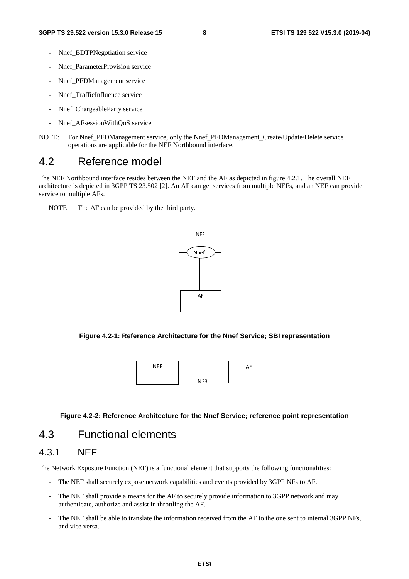- Nnef\_BDTPNegotiation service
- Nnef\_ParameterProvision service
- Nnef PFDManagement service
- Nnef TrafficInfluence service
- Nnef\_ChargeableParty service
- Nnef AFsessionWithQoS service
- NOTE: For Nnef\_PFDManagement service, only the Nnef\_PFDManagement\_Create/Update/Delete service operations are applicable for the NEF Northbound interface.

### 4.2 Reference model

The NEF Northbound interface resides between the NEF and the AF as depicted in figure 4.2.1. The overall NEF architecture is depicted in 3GPP TS 23.502 [2]. An AF can get services from multiple NEFs, and an NEF can provide service to multiple AFs.

NOTE: The AF can be provided by the third party.



**Figure 4.2-1: Reference Architecture for the Nnef Service; SBI representation** 



#### **Figure 4.2-2: Reference Architecture for the Nnef Service; reference point representation**

### 4.3 Functional elements

### 4.3.1 NEF

The Network Exposure Function (NEF) is a functional element that supports the following functionalities:

- The NEF shall securely expose network capabilities and events provided by 3GPP NFs to AF.
- The NEF shall provide a means for the AF to securely provide information to 3GPP network and may authenticate, authorize and assist in throttling the AF.
- The NEF shall be able to translate the information received from the AF to the one sent to internal 3GPP NFs, and vice versa.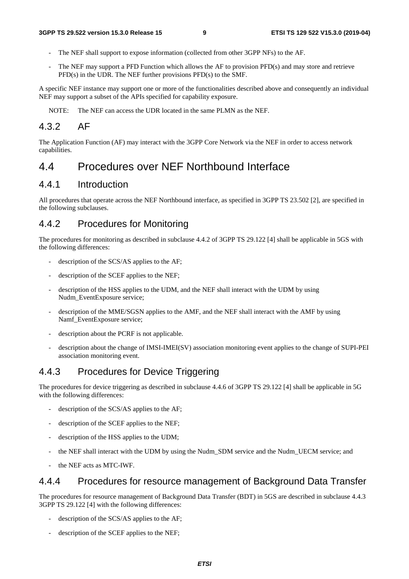- The NEF shall support to expose information (collected from other 3GPP NFs) to the AF.
- The NEF may support a PFD Function which allows the AF to provision PFD(s) and may store and retrieve PFD(s) in the UDR. The NEF further provisions PFD(s) to the SMF.

A specific NEF instance may support one or more of the functionalities described above and consequently an individual NEF may support a subset of the APIs specified for capability exposure.

NOTE: The NEF can access the UDR located in the same PLMN as the NEF.

### 4.3.2 AF

The Application Function (AF) may interact with the 3GPP Core Network via the NEF in order to access network capabilities.

### 4.4 Procedures over NEF Northbound Interface

### 4.4.1 Introduction

All procedures that operate across the NEF Northbound interface, as specified in 3GPP TS 23.502 [2], are specified in the following subclauses.

### 4.4.2 Procedures for Monitoring

The procedures for monitoring as described in subclause 4.4.2 of 3GPP TS 29.122 [4] shall be applicable in 5GS with the following differences:

- description of the SCS/AS applies to the AF;
- description of the SCEF applies to the NEF;
- description of the HSS applies to the UDM, and the NEF shall interact with the UDM by using Nudm\_EventExposure service;
- description of the MME/SGSN applies to the AMF, and the NEF shall interact with the AMF by using Namf\_EventExposure service;
- description about the PCRF is not applicable.
- description about the change of IMSI-IMEI(SV) association monitoring event applies to the change of SUPI-PEI association monitoring event.

### 4.4.3 Procedures for Device Triggering

The procedures for device triggering as described in subclause 4.4.6 of 3GPP TS 29.122 [4] shall be applicable in 5G with the following differences:

- description of the SCS/AS applies to the AF;
- description of the SCEF applies to the NEF;
- description of the HSS applies to the UDM;
- the NEF shall interact with the UDM by using the Nudm SDM service and the Nudm UECM service; and
- the NEF acts as MTC-IWF.

### 4.4.4 Procedures for resource management of Background Data Transfer

The procedures for resource management of Background Data Transfer (BDT) in 5GS are described in subclause 4.4.3 3GPP TS 29.122 [4] with the following differences:

- description of the SCS/AS applies to the AF;
- description of the SCEF applies to the NEF;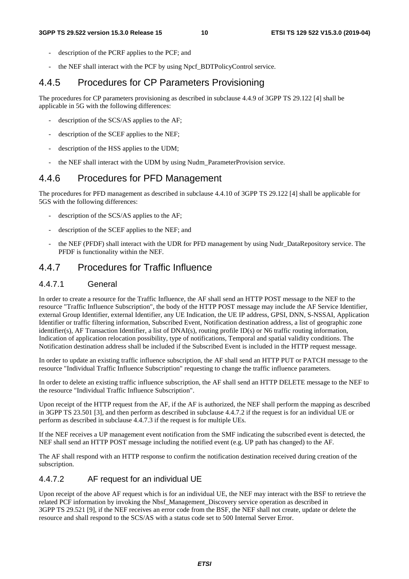- description of the PCRF applies to the PCF; and
- the NEF shall interact with the PCF by using Npcf\_BDTPolicyControl service.

### 4.4.5 Procedures for CP Parameters Provisioning

The procedures for CP parameters provisioning as described in subclause 4.4.9 of 3GPP TS 29.122 [4] shall be applicable in 5G with the following differences:

- description of the SCS/AS applies to the AF;
- description of the SCEF applies to the NEF;
- description of the HSS applies to the UDM;
- the NEF shall interact with the UDM by using Nudm\_ParameterProvision service.

### 4.4.6 Procedures for PFD Management

The procedures for PFD management as described in subclause 4.4.10 of 3GPP TS 29.122 [4] shall be applicable for 5GS with the following differences:

- description of the SCS/AS applies to the AF;
- description of the SCEF applies to the NEF; and
- the NEF (PFDF) shall interact with the UDR for PFD management by using Nudr\_DataRepository service. The PFDF is functionality within the NEF.

### 4.4.7 Procedures for Traffic Influence

#### 4.4.7.1 General

In order to create a resource for the Traffic Influence, the AF shall send an HTTP POST message to the NEF to the resource "Traffic Influence Subscription", the body of the HTTP POST message may include the AF Service Identifier, external Group Identifier, external Identifier, any UE Indication, the UE IP address, GPSI, DNN, S-NSSAI, Application Identifier or traffic filtering information, Subscribed Event, Notification destination address, a list of geographic zone identifier(s), AF Transaction Identifier, a list of DNAI(s), routing profile ID(s) or N6 traffic routing information, Indication of application relocation possibility, type of notifications, Temporal and spatial validity conditions. The Notification destination address shall be included if the Subscribed Event is included in the HTTP request message.

In order to update an existing traffic influence subscription, the AF shall send an HTTP PUT or PATCH message to the resource "Individual Traffic Influence Subscription" requesting to change the traffic influence parameters.

In order to delete an existing traffic influence subscription, the AF shall send an HTTP DELETE message to the NEF to the resource "Individual Traffic Influence Subscription".

Upon receipt of the HTTP request from the AF, if the AF is authorized, the NEF shall perform the mapping as described in 3GPP TS 23.501 [3], and then perform as described in subclause 4.4.7.2 if the request is for an individual UE or perform as described in subclause 4.4.7.3 if the request is for multiple UEs.

If the NEF receives a UP management event notification from the SMF indicating the subscribed event is detected, the NEF shall send an HTTP POST message including the notified event (e.g. UP path has changed) to the AF.

The AF shall respond with an HTTP response to confirm the notification destination received during creation of the subscription.

#### 4.4.7.2 AF request for an individual UE

Upon receipt of the above AF request which is for an individual UE, the NEF may interact with the BSF to retrieve the related PCF information by invoking the Nbsf\_Management\_Discovery service operation as described in 3GPP TS 29.521 [9], if the NEF receives an error code from the BSF, the NEF shall not create, update or delete the resource and shall respond to the SCS/AS with a status code set to 500 Internal Server Error.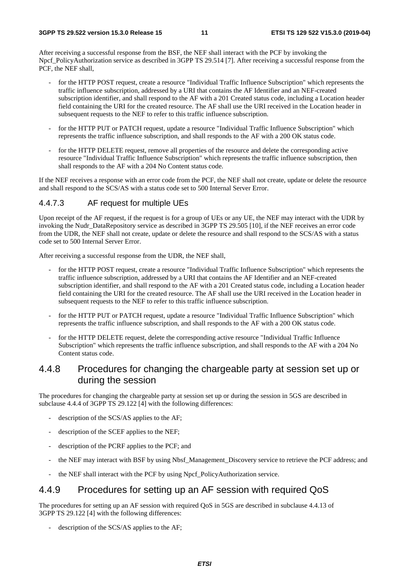After receiving a successful response from the BSF, the NEF shall interact with the PCF by invoking the Npcf\_PolicyAuthorization service as described in 3GPP TS 29.514 [7]. After receiving a successful response from the PCF, the NEF shall,

- for the HTTP POST request, create a resource "Individual Traffic Influence Subscription" which represents the traffic influence subscription, addressed by a URI that contains the AF Identifier and an NEF-created subscription identifier, and shall respond to the AF with a 201 Created status code, including a Location header field containing the URI for the created resource. The AF shall use the URI received in the Location header in subsequent requests to the NEF to refer to this traffic influence subscription.
- for the HTTP PUT or PATCH request, update a resource "Individual Traffic Influence Subscription" which represents the traffic influence subscription, and shall responds to the AF with a 200 OK status code.
- for the HTTP DELETE request, remove all properties of the resource and delete the corresponding active resource "Individual Traffic Influence Subscription" which represents the traffic influence subscription, then shall responds to the AF with a 204 No Content status code.

If the NEF receives a response with an error code from the PCF, the NEF shall not create, update or delete the resource and shall respond to the SCS/AS with a status code set to 500 Internal Server Error.

#### 4.4.7.3 AF request for multiple UEs

Upon receipt of the AF request, if the request is for a group of UEs or any UE, the NEF may interact with the UDR by invoking the Nudr\_DataRepository service as described in 3GPP TS 29.505 [10], if the NEF receives an error code from the UDR, the NEF shall not create, update or delete the resource and shall respond to the SCS/AS with a status code set to 500 Internal Server Error.

After receiving a successful response from the UDR, the NEF shall,

- for the HTTP POST request, create a resource "Individual Traffic Influence Subscription" which represents the traffic influence subscription, addressed by a URI that contains the AF Identifier and an NEF-created subscription identifier, and shall respond to the AF with a 201 Created status code, including a Location header field containing the URI for the created resource. The AF shall use the URI received in the Location header in subsequent requests to the NEF to refer to this traffic influence subscription.
- for the HTTP PUT or PATCH request, update a resource "Individual Traffic Influence Subscription" which represents the traffic influence subscription, and shall responds to the AF with a 200 OK status code.
- for the HTTP DELETE request, delete the corresponding active resource "Individual Traffic Influence Subscription" which represents the traffic influence subscription, and shall responds to the AF with a 204 No Content status code.

### 4.4.8 Procedures for changing the chargeable party at session set up or during the session

The procedures for changing the chargeable party at session set up or during the session in 5GS are described in subclause 4.4.4 of 3GPP TS 29.122 [4] with the following differences:

- description of the SCS/AS applies to the AF;
- description of the SCEF applies to the NEF;
- description of the PCRF applies to the PCF; and
- the NEF may interact with BSF by using Nbsf\_Management\_Discovery service to retrieve the PCF address; and
- the NEF shall interact with the PCF by using Npcf\_PolicyAuthorization service.

### 4.4.9 Procedures for setting up an AF session with required QoS

The procedures for setting up an AF session with required QoS in 5GS are described in subclause 4.4.13 of 3GPP TS 29.122 [4] with the following differences:

description of the SCS/AS applies to the AF;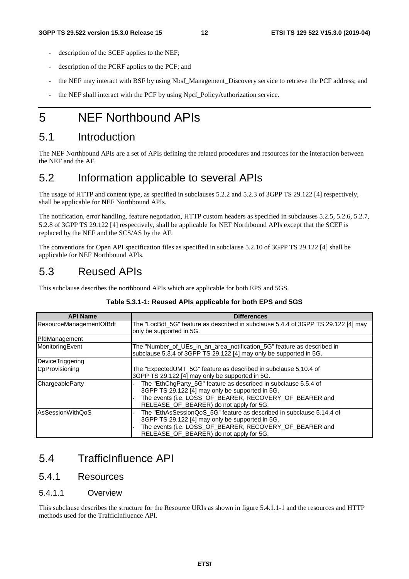- description of the SCEF applies to the NEF;
- description of the PCRF applies to the PCF; and
- the NEF may interact with BSF by using Nbsf\_Management\_Discovery service to retrieve the PCF address; and
- the NEF shall interact with the PCF by using Npcf\_PolicyAuthorization service.

## 5 NEF Northbound APIs

### 5.1 Introduction

The NEF Northbound APIs are a set of APIs defining the related procedures and resources for the interaction between the NEF and the AF.

## 5.2 Information applicable to several APIs

The usage of HTTP and content type, as specified in subclauses 5.2.2 and 5.2.3 of 3GPP TS 29.122 [4] respectively, shall be applicable for NEF Northbound APIs.

The notification, error handling, feature negotiation, HTTP custom headers as specified in subclauses 5.2.5, 5.2.6, 5.2.7, 5.2.8 of 3GPP TS 29.122 [4] respectively, shall be applicable for NEF Northbound APIs except that the SCEF is replaced by the NEF and the SCS/AS by the AF.

The conventions for Open API specification files as specified in subclause 5.2.10 of 3GPP TS 29.122 [4] shall be applicable for NEF Northbound APIs.

### 5.3 Reused APIs

This subclause describes the northbound APIs which are applicable for both EPS and 5GS.

| <b>API Name</b>         | <b>Differences</b>                                                                                                                                                                                                            |
|-------------------------|-------------------------------------------------------------------------------------------------------------------------------------------------------------------------------------------------------------------------------|
| ResourceManagementOfBdt | The "LocBdt 5G" feature as described in subclause 5.4.4 of 3GPP TS 29.122 [4] may<br>only be supported in 5G.                                                                                                                 |
| PfdManagement           |                                                                                                                                                                                                                               |
| MonitoringEvent         | The "Number of UEs in an area notification 5G" feature as described in<br>subclause 5.3.4 of 3GPP TS 29.122 [4] may only be supported in 5G.                                                                                  |
| DeviceTriggering        |                                                                                                                                                                                                                               |
| CpProvisioning          | The "ExpectedUMT_5G" feature as described in subclause 5.10.4 of<br>3GPP TS 29.122 [4] may only be supported in 5G.                                                                                                           |
| ChargeableParty         | The "EthChgParty_5G" feature as described in subclause 5.5.4 of<br>3GPP TS 29.122 [4] may only be supported in 5G.<br>The events (i.e. LOSS_OF_BEARER, RECOVERY_OF_BEARER and<br>RELEASE_OF_BEARER) do not apply for 5G.      |
| AsSessionWithQoS        | The "EthAsSessionQoS_5G" feature as described in subclause 5.14.4 of<br>3GPP TS 29.122 [4] may only be supported in 5G.<br>The events (i.e. LOSS_OF_BEARER, RECOVERY_OF_BEARER and<br>RELEASE OF BEARER) do not apply for 5G. |

#### **Table 5.3.1-1: Reused APIs applicable for both EPS and 5GS**

### 5.4 TrafficInfluence API

### 5.4.1 Resources

#### 5.4.1.1 Overview

This subclause describes the structure for the Resource URIs as shown in figure 5.4.1.1-1 and the resources and HTTP methods used for the TrafficInfluence API.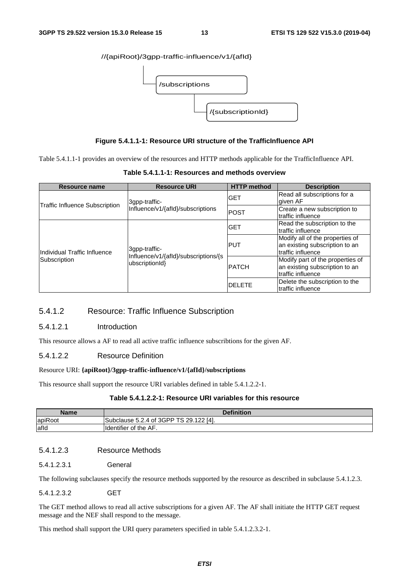#### //{apiRoot}/3gpp-traffic-influence/v1/{afId}



#### **Figure 5.4.1.1-1: Resource URI structure of the TrafficInfluence API**

Table 5.4.1.1-1 provides an overview of the resources and HTTP methods applicable for the TrafficInfluence API.

| Resource name                         | <b>Resource URI</b>                                    | <b>HTTP</b> method | <b>Description</b>                                                                      |
|---------------------------------------|--------------------------------------------------------|--------------------|-----------------------------------------------------------------------------------------|
|                                       | 3gpp-traffic-                                          | <b>GET</b>         | Read all subscriptions for a<br>given AF                                                |
| <b>Traffic Influence Subscription</b> | Influence/v1/{afld}/subscriptions                      | <b>POST</b>        | Create a new subscription to<br>traffic influence                                       |
|                                       |                                                        | <b>GET</b>         | Read the subscription to the<br>traffic influence                                       |
| Individual Traffic Influence          | 3qpp-traffic-                                          | <b>PUT</b>         | Modify all of the properties of<br>an existing subscription to an<br>Itraffic influence |
| Subscription                          | Influence/v1/{afld}/subscriptions/{s<br>ubscriptionId} | <b>PATCH</b>       | Modify part of the properties of<br>an existing subscription to an<br>traffic influence |
|                                       |                                                        | <b>IDELETE</b>     | Delete the subscription to the<br>Itraffic influence                                    |

**Table 5.4.1.1-1: Resources and methods overview** 

#### 5.4.1.2 Resource: Traffic Influence Subscription

#### 5.4.1.2.1 Introduction

This resource allows a AF to read all active traffic influence subscribtions for the given AF.

#### 5.4.1.2.2 Resource Definition

#### Resource URI: **{apiRoot}/3gpp-traffic-influence/v1/{afId}/subscriptions**

This resource shall support the resource URI variables defined in table 5.4.1.2.2-1.

#### **Table 5.4.1.2.2-1: Resource URI variables for this resource**

| <b>Name</b> | <b>Definition</b>                             |  |  |  |  |
|-------------|-----------------------------------------------|--|--|--|--|
| apiRoot     | Subclause 5.2.4 of 3GPP TS 29.122<br>122 [4]. |  |  |  |  |
| afld        | <b>I</b> dentifier of the AF.                 |  |  |  |  |

#### 5.4.1.2.3 Resource Methods

5.4.1.2.3.1 General

The following subclauses specify the resource methods supported by the resource as described in subclause 5.4.1.2.3.

#### 5.4.1.2.3.2 GET

The GET method allows to read all active subscriptions for a given AF. The AF shall initiate the HTTP GET request message and the NEF shall respond to the message.

This method shall support the URI query parameters specified in table 5.4.1.2.3.2-1.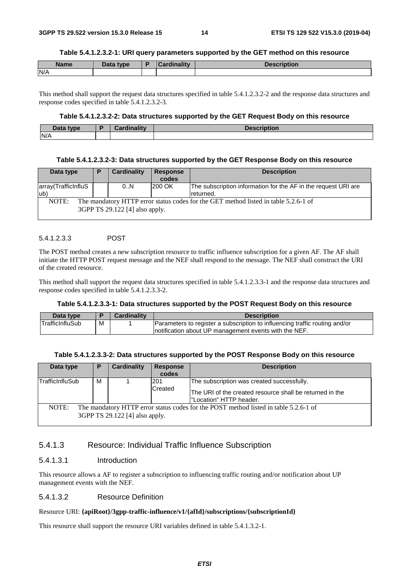#### **Table 5.4.1.2.3.2-1: URI query parameters supported by the GET method on this resource**

| <b>Name</b> | <b>Pata type</b><br>Dala | `ordinolity | ïntion |
|-------------|--------------------------|-------------|--------|
| N/A         |                          |             |        |

This method shall support the request data structures specified in table 5.4.1.2.3.2-2 and the response data structures and response codes specified in table 5.4.1.2.3.2-3.

#### **Table 5.4.1.2.3.2-2: Data structures supported by the GET Request Body on this resource**

| Data type | Cardinality | <b>Description</b> |
|-----------|-------------|--------------------|
| N/A       |             |                    |

#### **Table 5.4.1.2.3.2-3: Data structures supported by the GET Response Body on this resource**

| Data type                                                                                                                      | P | Cardinality | <b>Response</b><br>codes | <b>Description</b>                                                          |
|--------------------------------------------------------------------------------------------------------------------------------|---|-------------|--------------------------|-----------------------------------------------------------------------------|
| array(TrafficInfluS<br>lub)                                                                                                    |   | 0N          | 200 OK                   | The subscription information for the AF in the request URI are<br>returned. |
| NOTE:<br>The mandatory HTTP error status codes for the GET method listed in table 5.2.6-1 of<br>3GPP TS 29.122 [4] also apply. |   |             |                          |                                                                             |

#### 5.4.1.2.3.3 POST

The POST method creates a new subscription resource to traffic influence subscription for a given AF. The AF shall initiate the HTTP POST request message and the NEF shall respond to the message. The NEF shall construct the URI of the created resource.

This method shall support the request data structures specified in table 5.4.1.2.3.3-1 and the response data structures and response codes specified in table 5.4.1.2.3.3-2.

#### **Table 5.4.1.2.3.3-1: Data structures supported by the POST Request Body on this resource**

| Data type       |   | <b>Cardinality</b> | <b>Description</b>                                                          |  |
|-----------------|---|--------------------|-----------------------------------------------------------------------------|--|
| TrafficInfluSub | M |                    | Parameters to register a subscription to influencing traffic routing and/or |  |
|                 |   |                    | Inotification about UP management events with the NEF.                      |  |

| Table 5.4.1.2.3.3-2: Data structures supported by the POST Response Body on this resource |  |  |
|-------------------------------------------------------------------------------------------|--|--|
|                                                                                           |  |  |

| Data type                                                                                                                       | P | <b>Cardinality</b> | <b>Response</b><br>codes | <b>Description</b>                                                                                                                |
|---------------------------------------------------------------------------------------------------------------------------------|---|--------------------|--------------------------|-----------------------------------------------------------------------------------------------------------------------------------|
| <b>TrafficInfluSub</b>                                                                                                          | м |                    | 201<br>Created           | The subscription was created successfully.<br>The URI of the created resource shall be returned in the<br>"Location" HTTP header. |
| NOTE:<br>The mandatory HTTP error status codes for the POST method listed in table 5.2.6-1 of<br>3GPP TS 29.122 [4] also apply. |   |                    |                          |                                                                                                                                   |

#### 5.4.1.3 Resource: Individual Traffic Influence Subscription

#### 5.4.1.3.1 Introduction

This resource allows a AF to register a subscription to influencing traffic routing and/or notification about UP management events with the NEF.

#### 5.4.1.3.2 Resource Definition

#### Resource URI: **{apiRoot}/3gpp-traffic-influence/v1/{afId}/subscriptions/{subscriptionId}**

This resource shall support the resource URI variables defined in table 5.4.1.3.2-1.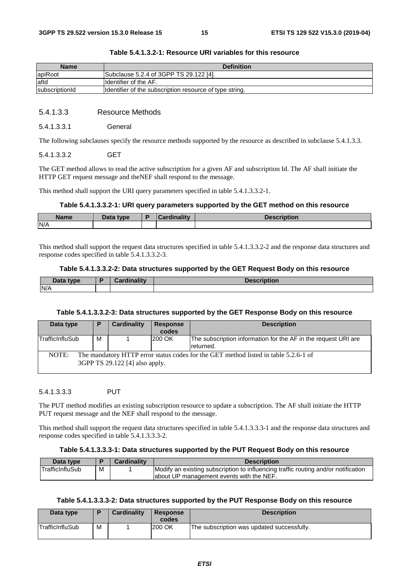| <b>Name</b>    | <b>Definition</b>                                       |
|----------------|---------------------------------------------------------|
| apiRoot        | Subclause 5.2.4 of 3GPP TS 29.122 [4].                  |
| lafld          | <b>I</b> Identifier of the AF.                          |
| subscriptionId | Identifier of the subscription resource of type string. |

#### **Table 5.4.1.3.2-1: Resource URI variables for this resource**

#### 5.4.1.3.3 Resource Methods

#### 5.4.1.3.3.1 General

The following subclauses specify the resource methods supported by the resource as described in subclause 5.4.1.3.3.

#### 5.4.1.3.3.2 GET

The GET method allows to read the active subscription for a given AF and subscription Id. The AF shall initiate the HTTP GET request message and theNEF shall respond to the message.

This method shall support the URI query parameters specified in table 5.4.1.3.3.2-1.

#### **Table 5.4.1.3.3.2-1: URI query parameters supported by the GET method on this resource**

| <b>Name</b> | Data type | Ð | <b>Cardinality</b> | <b>Description</b> |
|-------------|-----------|---|--------------------|--------------------|
| N/A         |           |   |                    |                    |

This method shall support the request data structures specified in table 5.4.1.3.3.2-2 and the response data structures and response codes specified in table 5.4.1.3.3.2-3.

#### **Table 5.4.1.3.3.2-2: Data structures supported by the GET Request Body on this resource**

| Data type | <b>Tinality</b> | ribtion |
|-----------|-----------------|---------|
| N/A       |                 |         |

#### **Table 5.4.1.3.3.2-3: Data structures supported by the GET Response Body on this resource**

| Data type       | P | Cardinality                    | <b>Response</b><br>codes | <b>Description</b>                                                                  |
|-----------------|---|--------------------------------|--------------------------|-------------------------------------------------------------------------------------|
| TrafficInfluSub | M |                                | 200 OK                   | The subscription information for the AF in the request URI are<br>returned.         |
| NOTE:           |   | 3GPP TS 29.122 [4] also apply. |                          | The mandatory HTTP error status codes for the GET method listed in table 5.2.6-1 of |

#### 5.4.1.3.3.3 PUT

The PUT method modifies an existing subscription resource to update a subscription. The AF shall initiate the HTTP PUT request message and the NEF shall respond to the message.

This method shall support the request data structures specified in table 5.4.1.3.3.3-1 and the response data structures and response codes specified in table 5.4.1.3.3.3-2.

#### **Table 5.4.1.3.3.3-1: Data structures supported by the PUT Request Body on this resource**

| Data type              |   | Cardinality | <b>Description</b>                                                                 |
|------------------------|---|-------------|------------------------------------------------------------------------------------|
| <b>TrafficInfluSub</b> | M |             | Modify an existing subscription to influencing traffic routing and/or notification |
|                        |   |             | about UP management events with the NEF.                                           |

#### **Table 5.4.1.3.3.3-2: Data structures supported by the PUT Response Body on this resource**

| Data type       |   | <b>Cardinality</b> | <b>Response</b><br>codes | <b>Description</b>                         |
|-----------------|---|--------------------|--------------------------|--------------------------------------------|
| TrafficInfluSub | М |                    | 200 OK                   | The subscription was updated successfully. |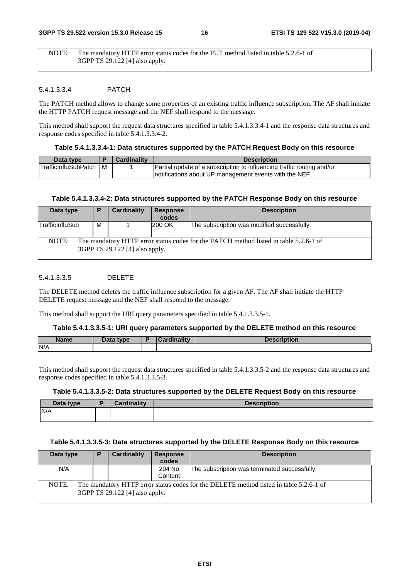NOTE: The mandatory HTTP error status codes for the PUT method listed in table 5.2.6-1 of 3GPP TS 29.122 [4] also apply.

#### 5.4.1.3.3.4 PATCH

The PATCH method allows to change some properties of an existing traffic influence subscription. The AF shall initiate the HTTP PATCH request message and the NEF shall respond to the message.

This method shall support the request data structures specified in table 5.4.1.3.3.4-1 and the response data structures and response codes specified in table 5.4.1.3.3.4-2.

#### **Table 5.4.1.3.3.4-1: Data structures supported by the PATCH Request Body on this resource**

| Data type                    |     | <b>Cardinality</b> | <b>Description</b>                                                     |
|------------------------------|-----|--------------------|------------------------------------------------------------------------|
| <b>ITrafficInfluSubPatch</b> | l M |                    | Partial update of a subscription to influencing traffic routing and/or |
|                              |     |                    | Inotifications about UP management events with the NEF.                |

#### **Table 5.4.1.3.3.4-2: Data structures supported by the PATCH Response Body on this resource**

| Data type                                                                                                                        | P | Cardinality | <b>Response</b><br>codes | <b>Description</b>                          |
|----------------------------------------------------------------------------------------------------------------------------------|---|-------------|--------------------------|---------------------------------------------|
| TrafficInfluSub                                                                                                                  | м |             | 200 OK                   | The subscription was modified successfully. |
| The mandatory HTTP error status codes for the PATCH method listed in table 5.2.6-1 of<br>NOTE:<br>3GPP TS 29.122 [4] also apply. |   |             |                          |                                             |

#### 5.4.1.3.3.5 DELETE

The DELETE method deletes the traffic influence subscription for a given AF. The AF shall initiate the HTTP DELETE request message and the NEF shall respond to the message.

This method shall support the URI query parameters specified in table 5.4.1.3.3.5-1.

#### **Table 5.4.1.3.3.5-1: URI query parameters supported by the DELETE method on this resource**

| <b>Name</b> | Data type<br>Dala | <b><i>Himmelites</i></b> | and the same of the same of |
|-------------|-------------------|--------------------------|-----------------------------|
| N/A         |                   |                          |                             |

This method shall support the request data structures specified in table 5.4.1.3.3.5-2 and the response data structures and response codes specified in table 5.4.1.3.3.5-3.

#### **Table 5.4.1.3.3.5-2: Data structures supported by the DELETE Request Body on this resource**

| Data type | <b>Cardinality</b> | <b>Description</b> |
|-----------|--------------------|--------------------|
| N/A       |                    |                    |
|           |                    |                    |

#### **Table 5.4.1.3.3.5-3: Data structures supported by the DELETE Response Body on this resource**

| Data type | Ð | Cardinality                    | <b>Response</b> | <b>Description</b>                                                                     |
|-----------|---|--------------------------------|-----------------|----------------------------------------------------------------------------------------|
|           |   |                                | codes           |                                                                                        |
| N/A       |   |                                | 204 No          | The subscription was terminated successfully.                                          |
|           |   |                                | Content         |                                                                                        |
| NOTE:     |   | 3GPP TS 29.122 [4] also apply. |                 | The mandatory HTTP error status codes for the DELETE method listed in table 5.2.6-1 of |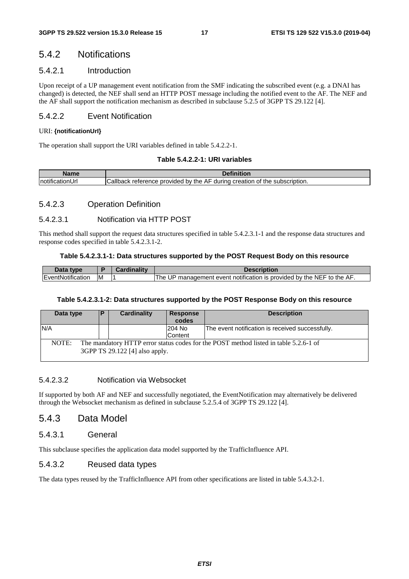### 5.4.2 Notifications

#### 5.4.2.1 Introduction

Upon receipt of a UP management event notification from the SMF indicating the subscribed event (e.g. a DNAI has changed) is detected, the NEF shall send an HTTP POST message including the notified event to the AF. The NEF and the AF shall support the notification mechanism as described in subclause 5.2.5 of 3GPP TS 29.122 [4].

#### 5.4.2.2 Event Notification

#### URI: **{notificationUrI}**

The operation shall support the URI variables defined in table 5.4.2.2-1.

#### **Table 5.4.2.2-1: URI variables**

| $l$ ama | <b>Definitio</b>                                                                                  |
|---------|---------------------------------------------------------------------------------------------------|
| Inotifi | Callback<br>provided by the AF :<br>durina<br>creation<br>subscription.<br>reterence<br>the<br>Οt |

#### 5.4.2.3 Operation Definition

#### 5.4.2.3.1 Notification via HTTP POST

This method shall support the request data structures specified in table 5.4.2.3.1-1 and the response data structures and response codes specified in table 5.4.2.3.1-2.

#### **Table 5.4.2.3.1-1: Data structures supported by the POST Request Body on this resource**

| Data type         |    | Cardinality | Description                                                                    |
|-------------------|----|-------------|--------------------------------------------------------------------------------|
| EventNotification | ιм |             | ' management event notification is provided by the NEF to the AF.<br>UP<br>The |

#### **Table 5.4.2.3.1-2: Data structures supported by the POST Response Body on this resource**

| Data type | IP. | Cardinality                    | Response<br>codes | <b>Description</b>                                                                   |
|-----------|-----|--------------------------------|-------------------|--------------------------------------------------------------------------------------|
| N/A       |     |                                | 204 No<br>Content | The event notification is received successfully.                                     |
| NOTE:     |     | 3GPP TS 29.122 [4] also apply. |                   | The mandatory HTTP error status codes for the POST method listed in table 5.2.6-1 of |

#### 5.4.2.3.2 Notification via Websocket

If supported by both AF and NEF and successfully negotiated, the EventNotification may alternatively be delivered through the Websocket mechanism as defined in subclause 5.2.5.4 of 3GPP TS 29.122 [4].

### 5.4.3 Data Model

#### 5.4.3.1 General

This subclause specifies the application data model supported by the TrafficInfluence API.

#### 5.4.3.2 Reused data types

The data types reused by the TrafficInfluence API from other specifications are listed in table 5.4.3.2-1.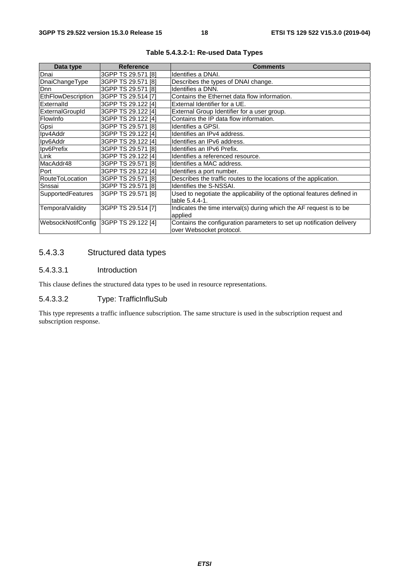| Data type          | <b>Reference</b>          | <b>Comments</b>                                                         |
|--------------------|---------------------------|-------------------------------------------------------------------------|
| Dnai               | 3GPP TS 29.571 [8]        | Identifies a DNAI.                                                      |
| DnaiChangeType     | 3GPP TS 29.571 [8]        | Describes the types of DNAI change.                                     |
| <b>D</b> nn        | 3GPP TS 29.571 [8]        | Identifies a DNN.                                                       |
| EthFlowDescription | 3GPP TS 29.514 [7]        | Contains the Ethernet data flow information.                            |
| Externalld         | 3GPP TS 29.122 [4]        | External Identifier for a UE.                                           |
| ExternalGroupId    | 3GPP TS 29.122 [4]        | External Group Identifier for a user group.                             |
| FlowInfo           | 3GPP TS 29.122 [4]        | Contains the IP data flow information.                                  |
| Gpsi               | 3GPP TS 29.571 [8]        | Identifies a GPSI.                                                      |
| Ipv4Addr           | 3GPP TS 29.122 [4]        | Identifies an IPv4 address.                                             |
| Ipv6Addr           | 3GPP TS 29.122 [4]        | Identifies an IPv6 address.                                             |
| Ipv6Prefix         | 3GPP TS 29.571 [8]        | Identifies an IPv6 Prefix.                                              |
| Link               | 3GPP TS 29.122 [4]        | Identifies a referenced resource.                                       |
| MacAddr48          | 3GPP TS 29.571 [8]        | Identifies a MAC address.                                               |
| Port               | 3GPP TS 29.122 [4]        | Identifies a port number.                                               |
| RouteToLocation    | 3GPP TS 29.571 [8]        | Describes the traffic routes to the locations of the application.       |
| Snssai             | 3GPP TS 29.571 [8]        | Identifies the S-NSSAI.                                                 |
| SupportedFeatures  | 3GPP TS 29.571 [8]        | Used to negotiate the applicability of the optional features defined in |
|                    |                           | table 5.4.4-1.                                                          |
| TemporalValidity   | 3GPP TS 29.514 [7]        | Indicates the time interval(s) during which the AF request is to be     |
|                    |                           | applied                                                                 |
| WebsockNotifConfig | <b>3GPP TS 29.122 [4]</b> | Contains the configuration parameters to set up notification delivery   |
|                    |                           | over Websocket protocol.                                                |

**Table 5.4.3.2-1: Re-used Data Types** 

### 5.4.3.3 Structured data types

#### 5.4.3.3.1 Introduction

This clause defines the structured data types to be used in resource representations.

#### 5.4.3.3.2 Type: TrafficInfluSub

This type represents a traffic influence subscription. The same structure is used in the subscription request and subscription response.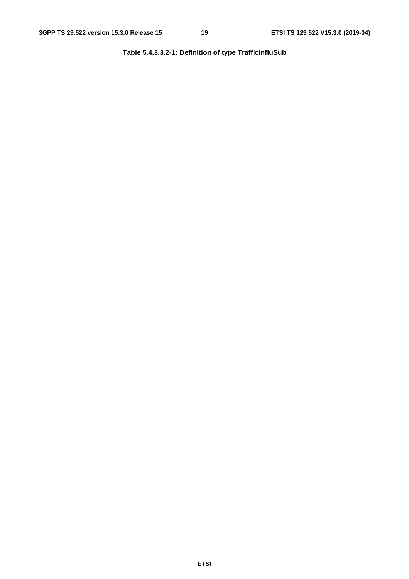**Table 5.4.3.3.2-1: Definition of type TrafficInfluSub**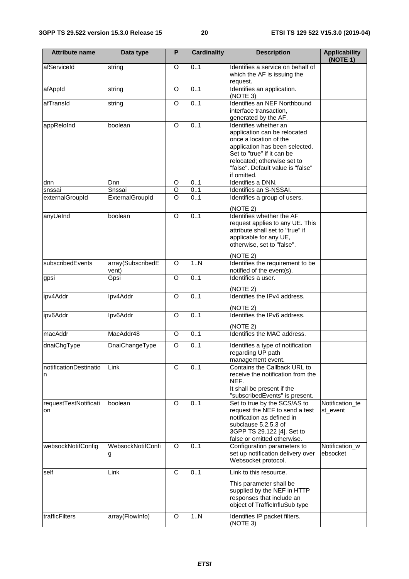| <b>Attribute name</b>       | Data type                  | P              | <b>Cardinality</b> | <b>Description</b>                                                                                                                                                                                                                 | <b>Applicability</b><br>(NOTE 1) |
|-----------------------------|----------------------------|----------------|--------------------|------------------------------------------------------------------------------------------------------------------------------------------------------------------------------------------------------------------------------------|----------------------------------|
| afServiceId                 | string                     | O              | 0.1                | Identifies a service on behalf of<br>which the AF is issuing the<br>request.                                                                                                                                                       |                                  |
| afAppId                     | string                     | O              | 0.1                | Identifies an application.<br>(NOTE 3)                                                                                                                                                                                             |                                  |
| afTransId                   | string                     | $\overline{O}$ | 0.1                | Identifies an NEF Northbound<br>interface transaction,<br>generated by the AF.                                                                                                                                                     |                                  |
| appReloInd                  | boolean                    | $\overline{O}$ | 0.1                | Identifies whether an<br>application can be relocated<br>once a location of the<br>application has been selected.<br>Set to "true" if it can be<br>relocated; otherwise set to<br>"false". Default value is "false"<br>if omitted. |                                  |
| dnn                         | Dnn                        | O              | 0.1                | Identifies a DNN.                                                                                                                                                                                                                  |                                  |
| snssai                      | Snssai                     | O              | 0.1                | Identifies an S-NSSAI.                                                                                                                                                                                                             |                                  |
| externalGroupId             | ExternalGroupId            | $\circ$        | 0.1                | Identifies a group of users.<br>(NOTE 2)                                                                                                                                                                                           |                                  |
| anyUeInd                    | boolean                    | $\overline{O}$ | 0.1                | Identifies whether the AF<br>request applies to any UE. This<br>attribute shall set to "true" if<br>applicable for any UE,<br>otherwise, set to "false".                                                                           |                                  |
| subscribedEvents            | array(SubscribedE<br>vent) | O              | 1.N                | (NOTE 2)<br>Identifies the requirement to be<br>notified of the event(s).                                                                                                                                                          |                                  |
| gpsi                        | Gpsi                       | $\circ$        | 0.1                | Identifies a user.<br>(NOTE 2)                                                                                                                                                                                                     |                                  |
| ipv4Addr                    | Ipv4Addr                   | O              | 0.1                | Identifies the IPv4 address.<br>(NOTE 2)                                                                                                                                                                                           |                                  |
| ipv6Addr                    | Ipv6Addr                   | O              | 0.1                | Identifies the IPv6 address.<br>(NOTE 2)                                                                                                                                                                                           |                                  |
| macAddr                     | MacAddr48                  | O              | 0.1                | Identifies the MAC address.                                                                                                                                                                                                        |                                  |
| dnaiChgType                 | DnaiChangeType             | O              | 0.1                | Identifies a type of notification<br>regarding UP path<br>management event.                                                                                                                                                        |                                  |
| notificationDestinatio<br>n | Link                       | C              | 0.1                | Contains the Callback URL to<br>receive the notification from the<br>NEF.<br>It shall be present if the<br>"subscribedEvents" is present.                                                                                          |                                  |
| requestTestNotificati<br>on | boolean                    | O              | 0.1                | Set to true by the SCS/AS to<br>request the NEF to send a test<br>notification as defined in<br>subclause 5.2.5.3 of<br>3GPP TS 29.122 [4]. Set to<br>false or omitted otherwise.                                                  | Notification_te<br>st_event      |
| websockNotifConfig          | WebsockNotifConfi<br>g     | O              | 0.1                | Configuration parameters to<br>set up notification delivery over<br>Websocket protocol.                                                                                                                                            | Notification_w<br>ebsocket       |
| self<br>trafficFilters      | Link<br>array(FlowInfo)    | C<br>O         | 0.1<br>1N          | Link to this resource.<br>This parameter shall be<br>supplied by the NEF in HTTP<br>responses that include an<br>object of TrafficInfluSub type<br>Identifies IP packet filters.                                                   |                                  |
|                             |                            |                |                    | (NOTE 3)                                                                                                                                                                                                                           |                                  |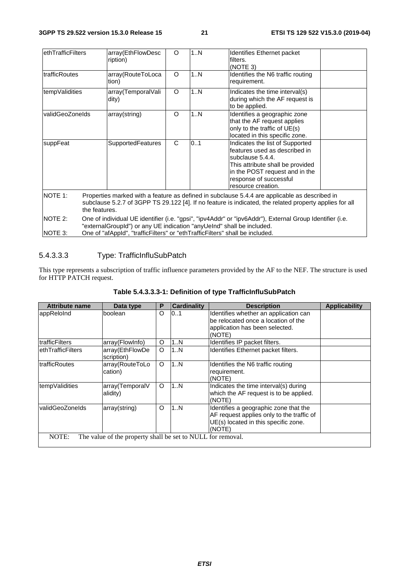| ethTrafficFilters     |                                                                                                                                                                                                                                                                   | array(EthFlowDesc<br>ription) | O | 1N | <b>Identifies Ethernet packet</b><br>filters.<br>(NOTE 3)                                                                                                                                                   |  |
|-----------------------|-------------------------------------------------------------------------------------------------------------------------------------------------------------------------------------------------------------------------------------------------------------------|-------------------------------|---|----|-------------------------------------------------------------------------------------------------------------------------------------------------------------------------------------------------------------|--|
| <b>ItrafficRoutes</b> |                                                                                                                                                                                                                                                                   | array(RouteToLoca<br>tion)    | O | 1N | Identifies the N6 traffic routing<br>requirement.                                                                                                                                                           |  |
| tempValidities        |                                                                                                                                                                                                                                                                   | array(TemporalVali<br>dity)   | O | 1N | Indicates the time interval(s)<br>during which the AF request is<br>to be applied.                                                                                                                          |  |
| validGeoZoneIds       |                                                                                                                                                                                                                                                                   | array(string)                 | O | 1N | Identifies a geographic zone<br>that the AF request applies<br>only to the traffic of UE(s)<br>located in this specific zone.                                                                               |  |
| suppFeat              |                                                                                                                                                                                                                                                                   | SupportedFeatures             | C | 01 | Indicates the list of Supported<br>lfeatures used as described in<br>subclause 5.4.4.<br>This attribute shall be provided<br>in the POST request and in the<br>response of successful<br>resource creation. |  |
| <b>NOTE 1:</b>        | Properties marked with a feature as defined in subclause 5.4.4 are applicable as described in<br>subclause 5.2.7 of 3GPP TS 29.122 [4]. If no feature is indicated, the related property applies for all<br>the features.                                         |                               |   |    |                                                                                                                                                                                                             |  |
| NOTE 2:<br>NOTE 3:    | One of individual UE identifier (i.e. "gpsi", "ipv4Addr" or "ipv6Addr"), External Group Identifier (i.e.<br>"externalGroupId") or any UE indication "anyUeInd" shall be included.<br>One of "afAppId", "trafficFilters" or "ethTrafficFilters" shall be included. |                               |   |    |                                                                                                                                                                                                             |  |

### 5.4.3.3.3 Type: TrafficInfluSubPatch

This type represents a subscription of traffic influence parameters provided by the AF to the NEF. The structure is used for HTTP PATCH request.

| <b>Attribute name</b> | Data type                                                   | P | <b>Cardinality</b> | <b>Description</b>                                                                                                                   | <b>Applicability</b> |
|-----------------------|-------------------------------------------------------------|---|--------------------|--------------------------------------------------------------------------------------------------------------------------------------|----------------------|
| appReloInd            | boolean                                                     | O | 0.1                | Identifies whether an application can<br>be relocated once a location of the<br>application has been selected.<br>(NOTE)             |                      |
| trafficFilters        | array(FlowInfo)                                             | O | 1N                 | Identifies IP packet filters.                                                                                                        |                      |
| ethTrafficFilters     | array(EthFlowDe<br>scription)                               | O | 1N                 | Identifies Ethernet packet filters.                                                                                                  |                      |
| trafficRoutes         | array(RouteToLo<br>cation)                                  | O | 1N                 | Identifies the N6 traffic routing<br>requirement.<br>(NOTE)                                                                          |                      |
| tempValidities        | array(TemporalV<br>alidity)                                 | O | 1N                 | Indicates the time interval(s) during<br>which the AF request is to be applied.<br>(NOTE)                                            |                      |
| validGeoZoneIds       | array(string)                                               | O | 1N                 | Identifies a geographic zone that the<br>AF request applies only to the traffic of<br>UE(s) located in this specific zone.<br>(NOTE) |                      |
| NOTE:                 | The value of the property shall be set to NULL for removal. |   |                    |                                                                                                                                      |                      |

**Table 5.4.3.3.3-1: Definition of type TrafficInfluSubPatch**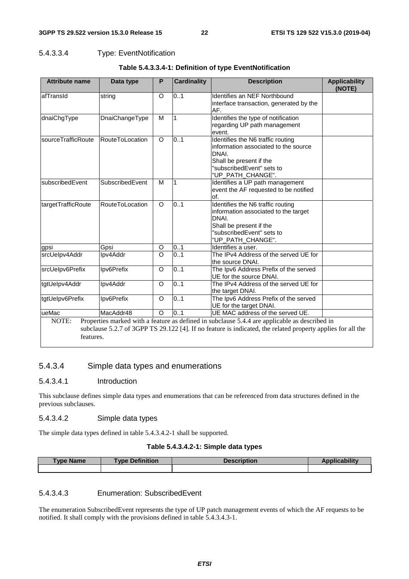#### 5.4.3.3.4 Type: EventNotification

| <b>Attribute name</b> | Data type              | P                  | <b>Cardinality</b> | <b>Description</b>                                                                                                                                                                                           | <b>Applicability</b><br>(NOTE) |
|-----------------------|------------------------|--------------------|--------------------|--------------------------------------------------------------------------------------------------------------------------------------------------------------------------------------------------------------|--------------------------------|
| afTransId             | string                 | O                  | $\overline{0}$ 1   | Identifies an NEF Northbound<br>interface transaction, generated by the<br>AF.                                                                                                                               |                                |
| dnaiChgType           | DnaiChangeType         | M                  | $\mathbf{1}$       | Identifies the type of notification<br>regarding UP path management<br>event.                                                                                                                                |                                |
| sourceTrafficRoute    | RouteToLocation        | $\circ$            | $\overline{0}$ .1  | Identifies the N6 traffic routing<br>information associated to the source<br>DNAI.<br>Shall be present if the<br>"subscribedEvent" sets to<br>"UP_PATH_CHANGE".                                              |                                |
| subscribedEvent       | SubscribedEvent        | M                  | 1                  | Identifies a UP path management<br>event the AF requested to be notified<br>of.                                                                                                                              |                                |
| targetTrafficRoute    | <b>RouteToLocation</b> | $\circ$            | 0.1                | Identifies the N6 traffic routing<br>information associated to the target<br>DNAI.<br>Shall be present if the<br>"subscribedEvent" sets to<br>"UP_PATH_CHANGE".                                              |                                |
| gpsi                  | Gpsi                   | O                  | 0.1                | Identifies a user.                                                                                                                                                                                           |                                |
| srcUelpv4Addr         | Ipv4Addr               | $\overline{\circ}$ | 0.1                | The IPv4 Address of the served UE for<br>the source DNAI.                                                                                                                                                    |                                |
| srcUelpv6Prefix       | Ipv6Prefix             | O                  | 0.1                | The Ipv6 Address Prefix of the served<br>UE for the source DNAI.                                                                                                                                             |                                |
| tgtUelpv4Addr         | Ipv4Addr               | O                  | 0.1                | The IPv4 Address of the served UE for<br>the target DNAI.                                                                                                                                                    |                                |
| tgtUelpv6Prefix       | Ipv6Prefix             | O                  | 0.1                | The Ipv6 Address Prefix of the served<br>UE for the target DNAI.                                                                                                                                             |                                |
| ueMac                 | MacAddr48              | O                  | 0.1                | UE MAC address of the served UE.                                                                                                                                                                             |                                |
| NOTE:<br>features.    |                        |                    |                    | Properties marked with a feature as defined in subclause 5.4.4 are applicable as described in<br>subclause 5.2.7 of 3GPP TS 29.122 [4]. If no feature is indicated, the related property applies for all the |                                |

#### **Table 5.4.3.3.4-1: Definition of type EventNotification**

### 5.4.3.4 Simple data types and enumerations

#### 5.4.3.4.1 Introduction

This subclause defines simple data types and enumerations that can be referenced from data structures defined in the previous subclauses.

#### 5.4.3.4.2 Simple data types

The simple data types defined in table 5.4.3.4.2-1 shall be supported.

#### **Table 5.4.3.4.2-1: Simple data types**

| <b>Type Name</b> | Definition<br><b>VDe</b> | Description | <i>d</i> icability |
|------------------|--------------------------|-------------|--------------------|
|                  |                          |             |                    |

### 5.4.3.4.3 Enumeration: SubscribedEvent

The enumeration SubscribedEvent represents the type of UP patch management events of which the AF requests to be notified. It shall comply with the provisions defined in table 5.4.3.4.3-1.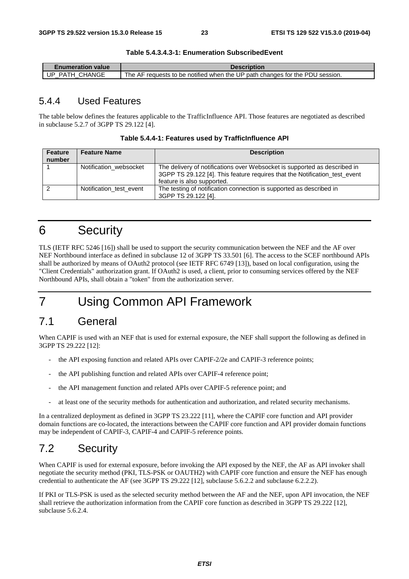**Table 5.4.3.4.3-1: Enumeration SubscribedEvent** 

| Enumeration value | <b>Description</b>                                                           |
|-------------------|------------------------------------------------------------------------------|
| UP PATH CHANGE    | The AF requests to be notified when the UP path changes for the PDU session. |

### 5.4.4 Used Features

The table below defines the features applicable to the TrafficInfluence API. Those features are negotiated as described in subclause 5.2.7 of 3GPP TS 29.122 [4].

| <b>Feature</b><br>number | <b>Feature Name</b>     | <b>Description</b>                                                                                                                                                                    |
|--------------------------|-------------------------|---------------------------------------------------------------------------------------------------------------------------------------------------------------------------------------|
|                          | Notification websocket  | The delivery of notifications over Websocket is supported as described in<br>3GPP TS 29.122 [4]. This feature requires that the Notification_test_event<br>feature is also supported. |
| ົ                        | Notification test event | The testing of notification connection is supported as described in<br>3GPP TS 29.122 [4].                                                                                            |

## 6 Security

TLS (IETF RFC 5246 [16]) shall be used to support the security communication between the NEF and the AF over NEF Northbound interface as defined in subclause 12 of 3GPP TS 33.501 [6]. The access to the SCEF northbound APIs shall be authorized by means of OAuth2 protocol (see IETF RFC 6749 [13]), based on local configuration, using the "Client Credentials" authorization grant. If OAuth2 is used, a client, prior to consuming services offered by the NEF Northbound APIs, shall obtain a "token" from the authorization server.

## 7 Using Common API Framework

## 7.1 General

When CAPIF is used with an NEF that is used for external exposure, the NEF shall support the following as defined in 3GPP TS 29.222 [12]:

- the API exposing function and related APIs over CAPIF-2/2e and CAPIF-3 reference points;
- the API publishing function and related APIs over CAPIF-4 reference point;
- the API management function and related APIs over CAPIF-5 reference point; and
- at least one of the security methods for authentication and authorization, and related security mechanisms.

In a centralized deployment as defined in 3GPP TS 23.222 [11], where the CAPIF core function and API provider domain functions are co-located, the interactions between the CAPIF core function and API provider domain functions may be independent of CAPIF-3, CAPIF-4 and CAPIF-5 reference points.

## 7.2 Security

When CAPIF is used for external exposure, before invoking the API exposed by the NEF, the AF as API invoker shall negotiate the security method (PKI, TLS-PSK or OAUTH2) with CAPIF core function and ensure the NEF has enough credential to authenticate the AF (see 3GPP TS 29.222 [12], subclause 5.6.2.2 and subclause 6.2.2.2).

If PKI or TLS-PSK is used as the selected security method between the AF and the NEF, upon API invocation, the NEF shall retrieve the authorization information from the CAPIF core function as described in 3GPP TS 29.222 [12], subclause 5.6.2.4.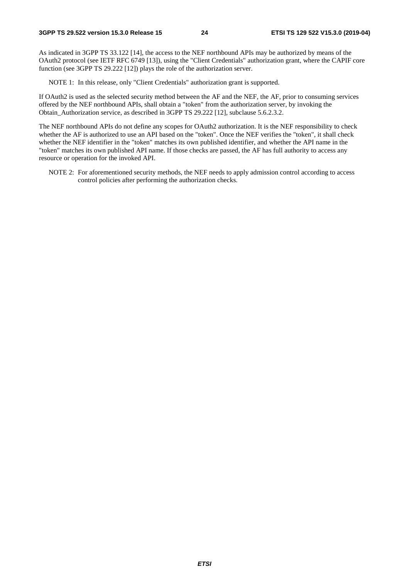As indicated in 3GPP TS 33.122 [14], the access to the NEF northbound APIs may be authorized by means of the OAuth2 protocol (see IETF RFC 6749 [13]), using the "Client Credentials" authorization grant, where the CAPIF core function (see 3GPP TS 29.222 [12]) plays the role of the authorization server.

NOTE 1: In this release, only "Client Credentials" authorization grant is supported.

If OAuth2 is used as the selected security method between the AF and the NEF, the AF, prior to consuming services offered by the NEF northbound APIs, shall obtain a "token" from the authorization server, by invoking the Obtain\_Authorization service, as described in 3GPP TS 29.222 [12], subclause 5.6.2.3.2.

The NEF northbound APIs do not define any scopes for OAuth2 authorization. It is the NEF responsibility to check whether the AF is authorized to use an API based on the "token". Once the NEF verifies the "token", it shall check whether the NEF identifier in the "token" matches its own published identifier, and whether the API name in the "token" matches its own published API name. If those checks are passed, the AF has full authority to access any resource or operation for the invoked API.

NOTE 2: For aforementioned security methods, the NEF needs to apply admission control according to access control policies after performing the authorization checks.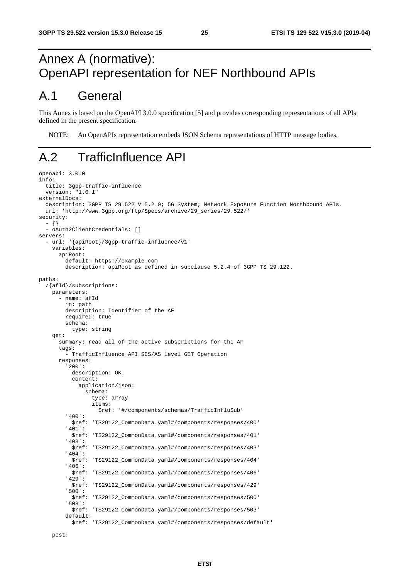## Annex A (normative): OpenAPI representation for NEF Northbound APIs

## A.1 General

This Annex is based on the OpenAPI 3.0.0 specification [5] and provides corresponding representations of all APIs defined in the present specification.

NOTE: An OpenAPIs representation embeds JSON Schema representations of HTTP message bodies.

## A.2 TrafficInfluence API

```
openapi: 3.0.0 
info: 
 title: 3gpp-traffic-influence 
 version: "1.0.1" 
externalDocs: 
   description: 3GPP TS 29.522 V15.2.0; 5G System; Network Exposure Function Northbound APIs. 
   url: 'http://www.3gpp.org/ftp/Specs/archive/29_series/29.522/' 
security: 
   - {} 
   - oAuth2ClientCredentials: [] 
servers: 
   - url: '{apiRoot}/3gpp-traffic-influence/v1' 
     variables: 
       apiRoot: 
         default: https://example.com 
         description: apiRoot as defined in subclause 5.2.4 of 3GPP TS 29.122. 
paths: 
   /{afId}/subscriptions: 
     parameters: 
       - name: afId 
         in: path 
         description: Identifier of the AF 
         required: true 
         schema: 
           type: string 
     get: 
       summary: read all of the active subscriptions for the AF 
       tags: 
          - TrafficInfluence API SCS/AS level GET Operation 
       responses: 
          '200': 
           description: OK. 
           content: 
              application/json: 
                schema: 
                  type: array 
                  items: 
                     $ref: '#/components/schemas/TrafficInfluSub' 
          '400': 
           $ref: 'TS29122_CommonData.yaml#/components/responses/400' 
          '401': 
            $ref: 'TS29122_CommonData.yaml#/components/responses/401' 
          '403': 
           $ref: 'TS29122_CommonData.yaml#/components/responses/403' 
          '404': 
            $ref: 'TS29122_CommonData.yaml#/components/responses/404' 
          '406': 
            $ref: 'TS29122_CommonData.yaml#/components/responses/406' 
          '429': 
                  $ref: 'TS29122_CommonData.yaml#/components/responses/429' 
          '500': 
            $ref: 'TS29122_CommonData.yaml#/components/responses/500' 
          '503': 
           $ref: 'TS29122_CommonData.yaml#/components/responses/503' 
         default: 
            $ref: 'TS29122_CommonData.yaml#/components/responses/default'
```
post: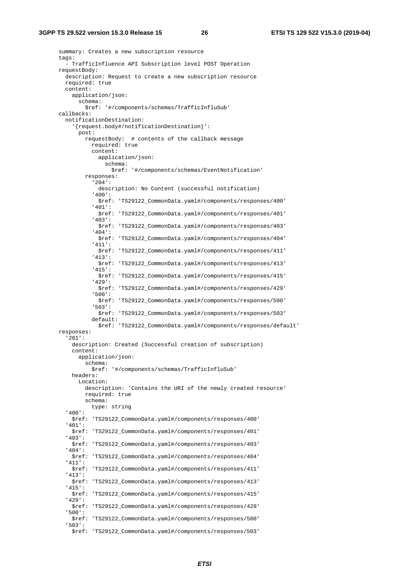summary: Creates a new subscription resource tags: - TrafficInfluence API Subscription level POST Operation requestBody: description: Request to create a new subscription resource required: true content: application/json: schema: \$ref: '#/components/schemas/TrafficInfluSub' callbacks: notificationDestination: '{request.body#/notificationDestination}': post: requestBody: # contents of the callback message required: true content: application/json: schema: \$ref: '#/components/schemas/EventNotification' responses: '204': description: No Content (successful notification) '400': \$ref: 'TS29122\_CommonData.yaml#/components/responses/400' '401': \$ref: 'TS29122\_CommonData.yaml#/components/responses/401' '403': \$ref: 'TS29122\_CommonData.yaml#/components/responses/403' '404': \$ref: 'TS29122\_CommonData.yaml#/components/responses/404' '411': \$ref: 'TS29122\_CommonData.yaml#/components/responses/411' '413': \$ref: 'TS29122\_CommonData.yaml#/components/responses/413' '415': \$ref: 'TS29122\_CommonData.yaml#/components/responses/415' '429': \$ref: 'TS29122\_CommonData.yaml#/components/responses/429' '500': \$ref: 'TS29122\_CommonData.yaml#/components/responses/500' '503': \$ref: 'TS29122\_CommonData.yaml#/components/responses/503' default: \$ref: 'TS29122\_CommonData.yaml#/components/responses/default' responses: '201': description: Created (Successful creation of subscription) content: application/json: schema: \$ref: '#/components/schemas/TrafficInfluSub' headers: Location: description: 'Contains the URI of the newly created resource' required: true schema: type: string '400': \$ref: 'TS29122\_CommonData.yaml#/components/responses/400' '401': \$ref: 'TS29122\_CommonData.yaml#/components/responses/401' '403': \$ref: 'TS29122\_CommonData.yaml#/components/responses/403' '404': \$ref: 'TS29122\_CommonData.yaml#/components/responses/404' '411': \$ref: 'TS29122\_CommonData.yaml#/components/responses/411' '413': \$ref: 'TS29122\_CommonData.yaml#/components/responses/413' '415': \$ref: 'TS29122\_CommonData.yaml#/components/responses/415' '429': \$ref: 'TS29122\_CommonData.yaml#/components/responses/429' '500': \$ref: 'TS29122\_CommonData.yaml#/components/responses/500' '503': \$ref: 'TS29122\_CommonData.yaml#/components/responses/503'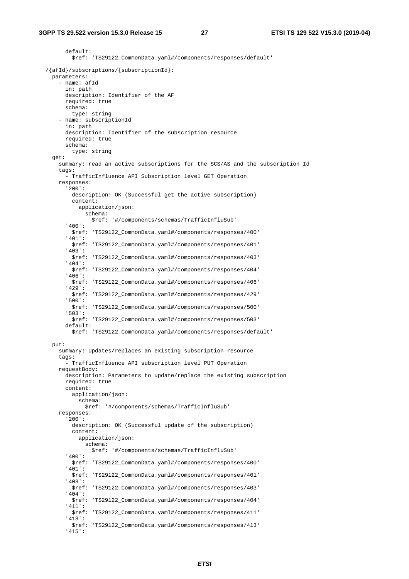default: \$ref: 'TS29122\_CommonData.yaml#/components/responses/default' /{afId}/subscriptions/{subscriptionId}: parameters: - name: afId in: path description: Identifier of the AF required: true schema: type: string - name: subscriptionId in: path description: Identifier of the subscription resource required: true schema: type: string get: summary: read an active subscriptions for the SCS/AS and the subscription Id tags: - TrafficInfluence API Subscription level GET Operation responses: '200': description: OK (Successful get the active subscription) content: application/json: schema: \$ref: '#/components/schemas/TrafficInfluSub' '400': \$ref: 'TS29122\_CommonData.yaml#/components/responses/400' '401': \$ref: 'TS29122\_CommonData.yaml#/components/responses/401' '403': \$ref: 'TS29122\_CommonData.yaml#/components/responses/403' '404': \$ref: 'TS29122\_CommonData.yaml#/components/responses/404' '406': \$ref: 'TS29122\_CommonData.yaml#/components/responses/406' '429': \$ref: 'TS29122\_CommonData.yaml#/components/responses/429' '500': \$ref: 'TS29122\_CommonData.yaml#/components/responses/500' '503': \$ref: 'TS29122\_CommonData.yaml#/components/responses/503' default: \$ref: 'TS29122\_CommonData.yaml#/components/responses/default' put: summary: Updates/replaces an existing subscription resource tags: - TrafficInfluence API subscription level PUT Operation requestBody: description: Parameters to update/replace the existing subscription required: true content: application/ison: schema: \$ref: '#/components/schemas/TrafficInfluSub' responses: '200': description: OK (Successful update of the subscription) content: application/json: schema: \$ref: '#/components/schemas/TrafficInfluSub' '400': \$ref: 'TS29122\_CommonData.yaml#/components/responses/400' '401': \$ref: 'TS29122\_CommonData.yaml#/components/responses/401' '403': \$ref: 'TS29122\_CommonData.yaml#/components/responses/403' '404': \$ref: 'TS29122\_CommonData.yaml#/components/responses/404' '411': \$ref: 'TS29122\_CommonData.yaml#/components/responses/411' '413': \$ref: 'TS29122\_CommonData.yaml#/components/responses/413' '415':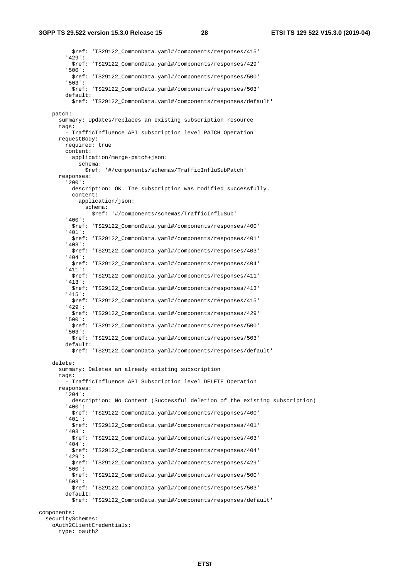\$ref: 'TS29122\_CommonData.yaml#/components/responses/415' '429': \$ref: 'TS29122\_CommonData.yaml#/components/responses/429' '500': \$ref: 'TS29122\_CommonData.yaml#/components/responses/500' '503': \$ref: 'TS29122\_CommonData.yaml#/components/responses/503' default: \$ref: 'TS29122\_CommonData.yaml#/components/responses/default' patch: summary: Updates/replaces an existing subscription resource tags: - TrafficInfluence API subscription level PATCH Operation requestBody: required: true content: application/merge-patch+json: schema: \$ref: '#/components/schemas/TrafficInfluSubPatch' responses: '200': description: OK. The subscription was modified successfully. content: application/json: schema: \$ref: '#/components/schemas/TrafficInfluSub' '400': \$ref: 'TS29122\_CommonData.yaml#/components/responses/400' '401': \$ref: 'TS29122\_CommonData.yaml#/components/responses/401' '403': \$ref: 'TS29122\_CommonData.yaml#/components/responses/403' '404': \$ref: 'TS29122\_CommonData.yaml#/components/responses/404' '411': \$ref: 'TS29122\_CommonData.yaml#/components/responses/411' '413': \$ref: 'TS29122\_CommonData.yaml#/components/responses/413' '415': \$ref: 'TS29122\_CommonData.yaml#/components/responses/415' '429': \$ref: 'TS29122\_CommonData.yaml#/components/responses/429' '500': \$ref: 'TS29122\_CommonData.yaml#/components/responses/500' '503': \$ref: 'TS29122\_CommonData.yaml#/components/responses/503' default: \$ref: 'TS29122\_CommonData.yaml#/components/responses/default' delete: summary: Deletes an already existing subscription tags: - TrafficInfluence API Subscription level DELETE Operation responses: '204': description: No Content (Successful deletion of the existing subscription) '400': \$ref: 'TS29122\_CommonData.yaml#/components/responses/400' '401': \$ref: 'TS29122\_CommonData.yaml#/components/responses/401' '403': \$ref: 'TS29122\_CommonData.yaml#/components/responses/403' '404': \$ref: 'TS29122\_CommonData.yaml#/components/responses/404' '429': \$ref: 'TS29122\_CommonData.yaml#/components/responses/429' '500': \$ref: 'TS29122\_CommonData.yaml#/components/responses/500' '503': \$ref: 'TS29122\_CommonData.yaml#/components/responses/503' default: \$ref: 'TS29122\_CommonData.yaml#/components/responses/default' components: securitySchemes: oAuth2ClientCredentials:

```
 type: oauth2
```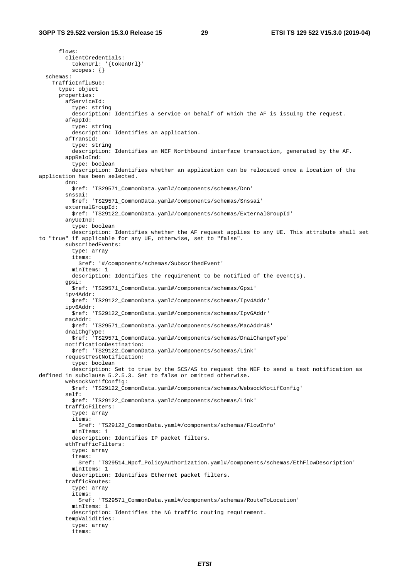flows: clientCredentials: tokenUrl: '{tokenUrl}' scopes: {} schemas: TrafficInfluSub: type: object properties: afServiceId: type: string description: Identifies a service on behalf of which the AF is issuing the request. afAppId: type: string description: Identifies an application. afTransId: type: string description: Identifies an NEF Northbound interface transaction, generated by the AF. appReloInd: type: boolean description: Identifies whether an application can be relocated once a location of the application has been selected. dnn: \$ref: 'TS29571\_CommonData.yaml#/components/schemas/Dnn' snssai: \$ref: 'TS29571\_CommonData.yaml#/components/schemas/Snssai' externalGroupId: \$ref: 'TS29122\_CommonData.yaml#/components/schemas/ExternalGroupId' anyUeInd: type: boolean description: Identifies whether the AF request applies to any UE. This attribute shall set to "true" if applicable for any UE, otherwise, set to "false". subscribedEvents: type: array items: \$ref: '#/components/schemas/SubscribedEvent' minItems: 1 description: Identifies the requirement to be notified of the event(s). gpsi: \$ref: 'TS29571\_CommonData.yaml#/components/schemas/Gpsi' ipv4Addr: \$ref: 'TS29122\_CommonData.yaml#/components/schemas/Ipv4Addr' ipv6Addr: \$ref: 'TS29122\_CommonData.yaml#/components/schemas/Ipv6Addr' macAddr: \$ref: 'TS29571\_CommonData.yaml#/components/schemas/MacAddr48' dnaiChgType: \$ref: 'TS29571\_CommonData.yaml#/components/schemas/DnaiChangeType' notificationDestination: \$ref: 'TS29122\_CommonData.yaml#/components/schemas/Link' requestTestNotification: type: boolean description: Set to true by the SCS/AS to request the NEF to send a test notification as defined in subclause 5.2.5.3. Set to false or omitted otherwise. websockNotifConfig: \$ref: 'TS29122\_CommonData.yaml#/components/schemas/WebsockNotifConfig' self: \$ref: 'TS29122\_CommonData.yaml#/components/schemas/Link' trafficFilters: type: array items: \$ref: 'TS29122\_CommonData.yaml#/components/schemas/FlowInfo' minItems: 1 description: Identifies IP packet filters. ethTrafficFilters: type: array items: \$ref: 'TS29514\_Npcf\_PolicyAuthorization.yaml#/components/schemas/EthFlowDescription' minItems: 1 description: Identifies Ethernet packet filters. trafficRoutes: type: array items: \$ref: 'TS29571\_CommonData.yaml#/components/schemas/RouteToLocation' minItems: 1 description: Identifies the N6 traffic routing requirement. tempValidities: type: array items: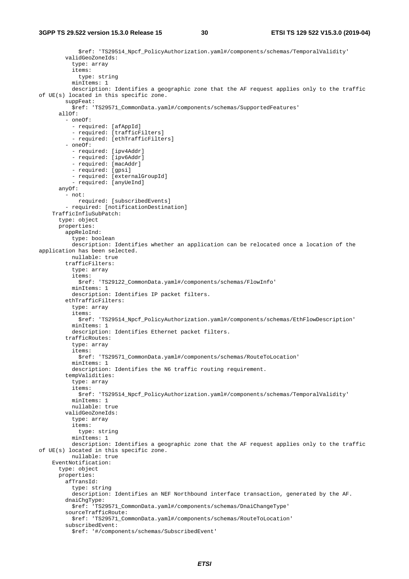```
 $ref: 'TS29514_Npcf_PolicyAuthorization.yaml#/components/schemas/TemporalValidity' 
         validGeoZoneIds: 
           type: array 
           items: 
             type: string 
           minItems: 1 
           description: Identifies a geographic zone that the AF request applies only to the traffic 
of UE(s) located in this specific zone. 
         suppFeat: 
           $ref: 'TS29571_CommonData.yaml#/components/schemas/SupportedFeatures' 
       allOf: 
          - oneOf: 
           - required: [afAppId] 
           - required: [trafficFilters] 
            - required: [ethTrafficFilters] 
          - oneOf: 
           - required: [ipv4Addr] 
           - required: [ipv6Addr] 
           - required: [macAddr] 
           - required: [gpsi] 
           - required: [externalGroupId] 
           - required: [anyUeInd] 
       anyOf: 
         - not: 
             required: [subscribedEvents] 
          - required: [notificationDestination] 
     TrafficInfluSubPatch: 
       type: object 
       properties: 
         appReloInd: 
           type: boolean 
           description: Identifies whether an application can be relocated once a location of the 
application has been selected. 
           nullable: true 
         trafficFilters: 
           type: array 
            items: 
              $ref: 'TS29122_CommonData.yaml#/components/schemas/FlowInfo' 
           minItems: 1 
           description: Identifies IP packet filters. 
         ethTrafficFilters: 
           type: array 
           items: 
              $ref: 'TS29514_Npcf_PolicyAuthorization.yaml#/components/schemas/EthFlowDescription' 
           minItems: 1 
           description: Identifies Ethernet packet filters. 
         trafficRoutes: 
           type: array 
           items: 
              $ref: 'TS29571_CommonData.yaml#/components/schemas/RouteToLocation' 
           minItems: 1 
           description: Identifies the N6 traffic routing requirement. 
         tempValidities: 
           type: array 
           items: 
             $ref: 'TS29514_Npcf_PolicyAuthorization.yaml#/components/schemas/TemporalValidity' 
           minItems: 1 
           nullable: true 
         validGeoZoneIds: 
           type: array 
           items: 
             type: string 
           minItems: 1 
           description: Identifies a geographic zone that the AF request applies only to the traffic 
of UE(s) located in this specific zone. 
           nullable: true 
     EventNotification: 
       type: object 
       properties: 
         afTransId: 
           type: string 
           description: Identifies an NEF Northbound interface transaction, generated by the AF. 
         dnaiChgType: 
           $ref: 'TS29571_CommonData.yaml#/components/schemas/DnaiChangeType' 
         sourceTrafficRoute: 
           $ref: 'TS29571_CommonData.yaml#/components/schemas/RouteToLocation' 
         subscribedEvent: 
           $ref: '#/components/schemas/SubscribedEvent'
```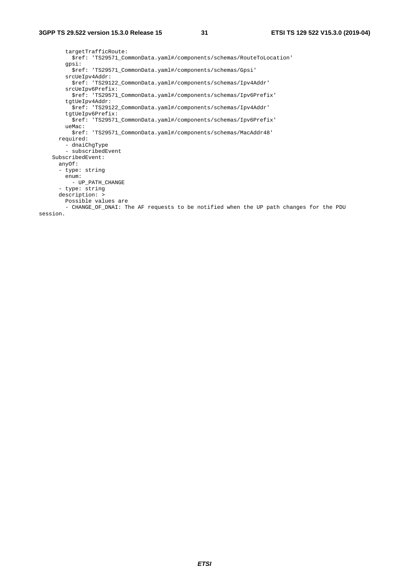targetTrafficRoute: \$ref: 'TS29571\_CommonData.yaml#/components/schemas/RouteToLocation' gpsi: \$ref: 'TS29571\_CommonData.yaml#/components/schemas/Gpsi' srcUeIpv4Addr: \$ref: 'TS29122\_CommonData.yaml#/components/schemas/Ipv4Addr' srcUeIpv6Prefix: \$ref: 'TS29571\_CommonData.yaml#/components/schemas/Ipv6Prefix' tgtUeIpv4Addr: \$ref: 'TS29122\_CommonData.yaml#/components/schemas/Ipv4Addr' tgtUeIpv6Prefix: \$ref: 'TS29571\_CommonData.yaml#/components/schemas/Ipv6Prefix' ueMac: \$ref: 'TS29571\_CommonData.yaml#/components/schemas/MacAddr48' required: - dnaiChgType - subscribedEvent SubscribedEvent: anyOf: - type: string enum: - UP\_PATH\_CHANGE - type: string description: > Possible values are - CHANGE\_OF\_DNAI: The AF requests to be notified when the UP path changes for the PDU session.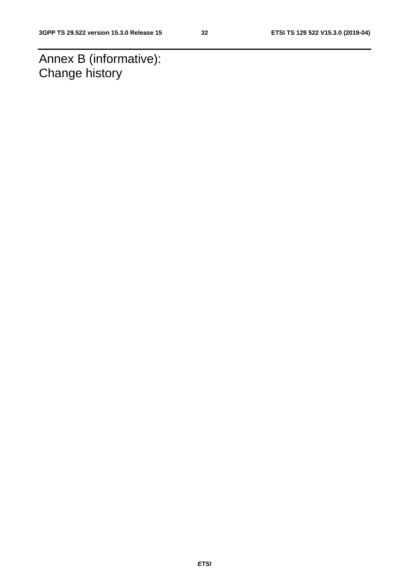Annex B (informative): Change history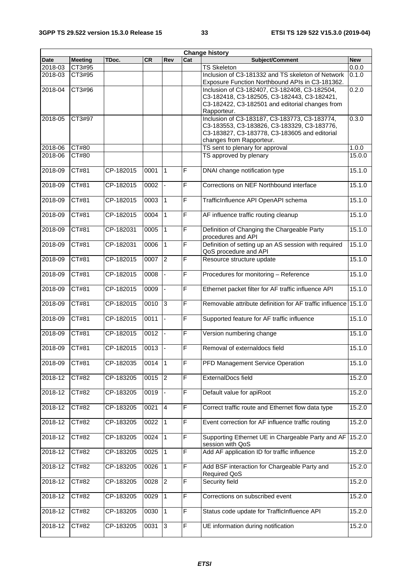|             | <b>Change history</b> |           |      |                |                         |                                                                |            |  |  |
|-------------|-----------------------|-----------|------|----------------|-------------------------|----------------------------------------------------------------|------------|--|--|
| <b>Date</b> | <b>Meeting</b>        | TDoc.     | CR   | Rev            | Cat                     | Subject/Comment                                                | <b>New</b> |  |  |
| 2018-03     | CT3#95                |           |      |                |                         | <b>TS Skeleton</b>                                             | 0.0.0      |  |  |
| 2018-03     | CT3#95                |           |      |                |                         | Inclusion of C3-181332 and TS skeleton of Network              | 0.1.0      |  |  |
|             |                       |           |      |                |                         | Exposure Function Northbound APIs in C3-181362.                |            |  |  |
| 2018-04     | CT3#96                |           |      |                |                         | Inclusion of C3-182407, C3-182408, C3-182504,                  | 0.2.0      |  |  |
|             |                       |           |      |                |                         | C3-182418, C3-182505, C3-182443, C3-182421,                    |            |  |  |
|             |                       |           |      |                |                         | C3-182422, C3-182501 and editorial changes from                |            |  |  |
|             |                       |           |      |                |                         |                                                                |            |  |  |
|             |                       |           |      |                |                         | Rapporteur.                                                    |            |  |  |
| 2018-05     | CT3#97                |           |      |                |                         | Inclusion of C3-183187, C3-183773, C3-183774,                  | 0.3.0      |  |  |
|             |                       |           |      |                |                         | C3-183553, C3-183826, C3-183329, C3-183776,                    |            |  |  |
|             |                       |           |      |                |                         | C3-183827, C3-183778, C3-183605 and editorial                  |            |  |  |
|             |                       |           |      |                |                         | changes from Rapporteur.                                       |            |  |  |
| 2018-06     | <b>CT#80</b>          |           |      |                |                         | TS sent to plenary for approval                                | 1.0.0      |  |  |
| 2018-06     | CT#80                 |           |      |                |                         | TS approved by plenary                                         | 15.0.0     |  |  |
|             |                       |           |      |                |                         |                                                                |            |  |  |
| 2018-09     | CT#81                 | CP-182015 | 0001 | 1              | $\mathsf F$             | DNAI change notification type                                  | 15.1.0     |  |  |
|             |                       |           |      |                |                         |                                                                |            |  |  |
|             |                       |           |      |                |                         |                                                                |            |  |  |
| 2018-09     | CT#81                 | CP-182015 | 0002 |                | $\overline{F}$          | Corrections on NEF Northbound interface                        | 15.1.0     |  |  |
|             |                       |           |      |                |                         |                                                                |            |  |  |
| 2018-09     | CT#81                 | CP-182015 | 0003 | $\mathbf{1}$   | $\mathsf F$             | TrafficInfluence API OpenAPI schema                            | 15.1.0     |  |  |
|             |                       |           |      |                |                         |                                                                |            |  |  |
| 2018-09     | CT#81                 | CP-182015 | 0004 | $\mathbf{1}$   | $\overline{F}$          | AF influence traffic routing cleanup                           | 15.1.0     |  |  |
|             |                       |           |      |                |                         |                                                                |            |  |  |
| 2018-09     | CT#81                 | CP-182031 | 0005 | $\mathbf{1}$   | $\mathsf{F}$            |                                                                | 15.1.0     |  |  |
|             |                       |           |      |                |                         | Definition of Changing the Chargeable Party                    |            |  |  |
|             |                       |           |      |                |                         | procedures and API                                             |            |  |  |
| 2018-09     | CT#81                 | CP-182031 | 0006 | $\mathbf{1}$   | $\overline{F}$          | Definition of setting up an AS session with required           | 15.1.0     |  |  |
|             |                       |           |      |                |                         | QoS procedure and API                                          |            |  |  |
| 2018-09     | CT#81                 | CP-182015 | 0007 | $\overline{2}$ | $\overline{\mathsf{F}}$ | Resource structure update                                      | 15.1.0     |  |  |
|             |                       |           |      |                |                         |                                                                |            |  |  |
| 2018-09     | CT#81                 | CP-182015 | 0008 |                | $\mathsf{F}$            | Procedures for monitoring - Reference                          | 15.1.0     |  |  |
|             |                       |           |      |                |                         |                                                                |            |  |  |
| 2018-09     | CT#81                 | CP-182015 | 0009 | $\blacksquare$ | $\overline{F}$          | Ethernet packet filter for AF traffic influence API            | 15.1.0     |  |  |
|             |                       |           |      |                |                         |                                                                |            |  |  |
|             |                       |           |      |                |                         |                                                                |            |  |  |
| 2018-09     | CT#81                 | CP-182015 | 0010 | 3              | $\overline{F}$          | Removable attribute definition for AF traffic influence 15.1.0 |            |  |  |
|             |                       |           |      |                |                         |                                                                |            |  |  |
| 2018-09     | CT#81                 | CP-182015 | 0011 | $\blacksquare$ | $\overline{F}$          | Supported feature for AF traffic influence                     | 15.1.0     |  |  |
|             |                       |           |      |                |                         |                                                                |            |  |  |
| 2018-09     | CT#81                 | CP-182015 | 0012 |                | F                       | Version numbering change                                       | 15.1.0     |  |  |
|             |                       |           |      |                |                         |                                                                |            |  |  |
| 2018-09     | CT#81                 | CP-182015 | 0013 | $\blacksquare$ | F                       | Removal of externaldocs field                                  | 15.1.0     |  |  |
|             |                       |           |      |                |                         |                                                                |            |  |  |
| 2018-09     | CT#81                 | CP-182035 | 0014 | $\vert$ 1      | $\mathsf F$             | PFD Management Service Operation                               | 15.1.0     |  |  |
|             |                       |           |      |                |                         |                                                                |            |  |  |
|             |                       |           |      |                |                         |                                                                |            |  |  |
| $2018 - 12$ | CT#82                 | CP-183205 | 0015 | $\overline{2}$ | $\overline{F}$          | ExternalDocs field                                             | 15.2.0     |  |  |
|             |                       |           |      |                |                         |                                                                |            |  |  |
| 2018-12     | CT#82                 | CP-183205 | 0019 |                | $\mathsf F$             | Default value for apiRoot                                      | 15.2.0     |  |  |
|             |                       |           |      |                |                         |                                                                |            |  |  |
| 2018-12     | CT#82                 | CP-183205 | 0021 | $\overline{A}$ | F                       | Correct traffic route and Ethernet flow data type              | 15.2.0     |  |  |
|             |                       |           |      |                |                         |                                                                |            |  |  |
| 2018-12     | CT#82                 | CP-183205 | 0022 | $\mathbf{1}$   | $\mathsf F$             | Event correction for AF influence traffic routing              | 15.2.0     |  |  |
|             |                       |           |      |                |                         |                                                                |            |  |  |
| 2018-12     | CT#82                 | CP-183205 | 0024 | $\mathbf{1}$   | $\overline{F}$          | Supporting Ethernet UE in Chargeable Party and AF              | 15.2.0     |  |  |
|             |                       |           |      |                |                         |                                                                |            |  |  |
|             |                       |           |      |                |                         | session with QoS                                               |            |  |  |
| 2018-12     | CT#82                 | CP-183205 | 0025 | 1              | $\mathsf F$             | Add AF application ID for traffic influence                    | 15.2.0     |  |  |
|             |                       |           |      |                |                         |                                                                |            |  |  |
| 2018-12     | CT#82                 | CP-183205 | 0026 | $\mathbf{1}$   | $\overline{F}$          | Add BSF interaction for Chargeable Party and                   | 15.2.0     |  |  |
|             |                       |           |      |                |                         | <b>Required QoS</b>                                            |            |  |  |
| 2018-12     | CT#82                 | CP-183205 | 0028 | $\overline{2}$ | F                       | Security field                                                 | 15.2.0     |  |  |
|             |                       |           |      |                |                         |                                                                |            |  |  |
| 2018-12     | CT#82                 | CP-183205 | 0029 | $\mathbf{1}$   | F                       | Corrections on subscribed event                                | 15.2.0     |  |  |
|             |                       |           |      |                |                         |                                                                |            |  |  |
|             |                       |           |      |                |                         |                                                                |            |  |  |
| 2018-12     | CT#82                 | CP-183205 | 0030 | $\mathbf{1}$   | $\overline{F}$          | Status code update for TrafficInfluence API                    | 15.2.0     |  |  |
|             |                       |           |      |                |                         |                                                                |            |  |  |
| 2018-12     | CT#82                 | CP-183205 | 0031 | $\mathbf{3}$   | F                       | UE information during notification                             | 15.2.0     |  |  |
|             |                       |           |      |                |                         |                                                                |            |  |  |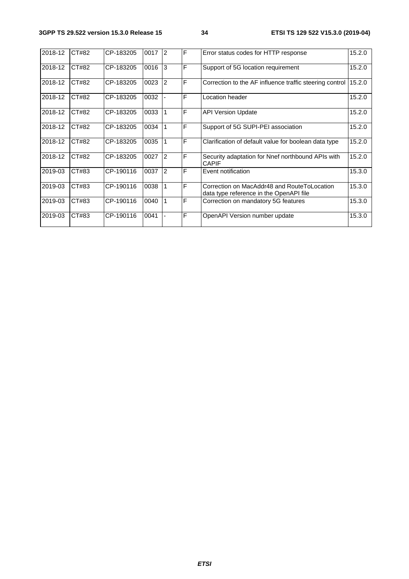| 2018-12 | CT#82 | CP-183205 | 0017 | $\overline{2}$ | F | Error status codes for HTTP response                                                   | 15.2.0 |
|---------|-------|-----------|------|----------------|---|----------------------------------------------------------------------------------------|--------|
| 2018-12 | CT#82 | CP-183205 | 0016 | 3              | Ē | Support of 5G location requirement                                                     | 15.2.0 |
| 2018-12 | CT#82 | CP-183205 | 0023 | 2              | F | Correction to the AF influence traffic steering control                                | 15.2.0 |
| 2018-12 | CT#82 | CP-183205 | 0032 |                | F | Location header                                                                        | 15.2.0 |
| 2018-12 | CT#82 | CP-183205 | 0033 | 1              | Ē | <b>API Version Update</b>                                                              | 15.2.0 |
| 2018-12 | CT#82 | CP-183205 | 0034 | 1              | F | Support of 5G SUPI-PEI association                                                     | 15.2.0 |
| 2018-12 | CT#82 | CP-183205 | 0035 | 1              | F | Clarification of default value for boolean data type                                   | 15.2.0 |
| 2018-12 | CT#82 | CP-183205 | 0027 | $\overline{2}$ | F | Security adaptation for Nnef northbound APIs with<br><b>CAPIF</b>                      | 15.2.0 |
| 2019-03 | CT#83 | CP-190116 | 0037 | 2              | F | Event notification                                                                     | 15.3.0 |
| 2019-03 | CT#83 | CP-190116 | 0038 | 1              | F | Correction on MacAddr48 and RouteToLocation<br>data type reference in the OpenAPI file | 15.3.0 |
| 2019-03 | CT#83 | CP-190116 | 0040 | 1              | F | Correction on mandatory 5G features                                                    | 15.3.0 |
| 2019-03 | CT#83 | CP-190116 | 0041 |                | F | OpenAPI Version number update                                                          | 15.3.0 |
|         |       |           |      |                |   |                                                                                        |        |